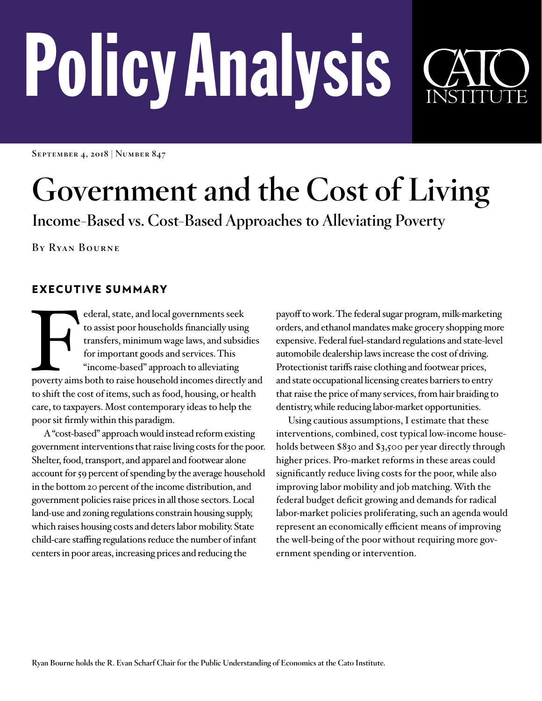# PolicyAnalysis



**September 4, 2018 | Number 847**

# **Government and the Cost of Living**

**Income-Based vs. Cost-Based Approaches to Alleviating Poverty**

**By Ryan Bourne** 

# EXECUTIVE SUMMARY

Federal, state, and local governments seek<br>to assist poor households financially using<br>transfers, minimum wage laws, and subsidies<br>for important goods and services. This<br>"income-based" approach to alleviating<br>poverty aims to assist poor households financially using transfers, minimum wage laws, and subsidies for important goods and services. This "income-based" approach to alleviating to shift the cost of items, such as food, housing, or health care, to taxpayers. Most contemporary ideas to help the poor sit firmly within this paradigm.

A "cost-based" approach would instead reform existing government interventions that raise living costs for the poor. Shelter, food, transport, and apparel and footwear alone account for 59 percent of spending by the average household in the bottom 20 percent of the income distribution, and government policies raise prices in all those sectors. Local land-use and zoning regulations constrain housing supply, which raises housing costs and deters labor mobility. State child-care staffing regulations reduce the number of infant centers in poor areas, increasing prices and reducing the

payoff to work. The federal sugar program, milk-marketing orders, and ethanol mandates make grocery shopping more expensive. Federal fuel-standard regulations and state-level automobile dealership laws increase the cost of driving. Protectionist tariffs raise clothing and footwear prices, and state occupational licensing creates barriers to entry that raise the price of many services, from hair braiding to dentistry, while reducing labor-market opportunities.

Using cautious assumptions, I estimate that these interventions, combined, cost typical low-income households between \$830 and \$3,500 per year directly through higher prices. Pro-market reforms in these areas could significantly reduce living costs for the poor, while also improving labor mobility and job matching. With the federal budget deficit growing and demands for radical labor-market policies proliferating, such an agenda would represent an economically efficient means of improving the well-being of the poor without requiring more government spending or intervention.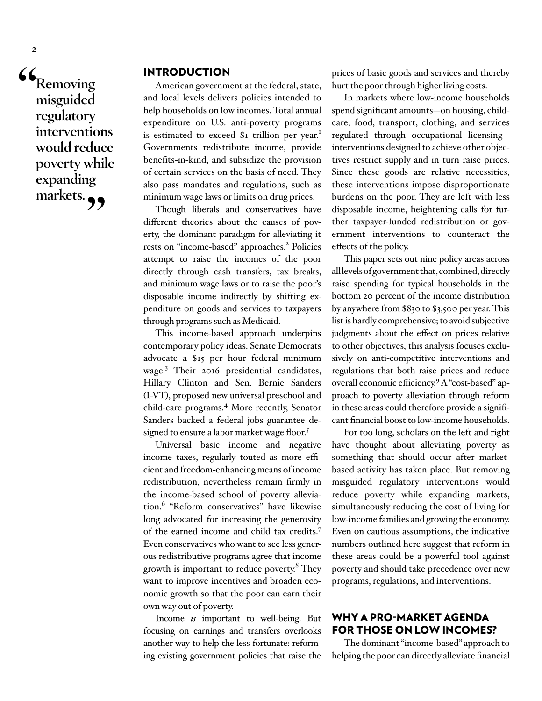**"Removing misguided regulatory interventions would reduce poverty while expanding**  markets.<sub>?</sub>

#### INTRODUCTION

American government at the federal, state, and local levels delivers policies intended to help households on low incomes. Total annual expenditure on U.S. anti-poverty programs is estimated to exceed \$1 trillion per year.<sup>1</sup> Governments redistribute income, provide benefits-in-kind, and subsidize the provision of certain services on the basis of need. They also pass mandates and regulations, such as minimum wage laws or limits on drug prices.

Though liberals and conservatives have different theories about the causes of poverty, the dominant paradigm for alleviating it rests on "income-based" approaches.<sup>2</sup> Policies attempt to raise the incomes of the poor directly through cash transfers, tax breaks, and minimum wage laws or to raise the poor's disposable income indirectly by shifting expenditure on goods and services to taxpayers through programs such as Medicaid.

This income-based approach underpins contemporary policy ideas. Senate Democrats advocate a \$15 per hour federal minimum wage.3 Their 2016 presidential candidates, Hillary Clinton and Sen. Bernie Sanders (I-VT), proposed new universal preschool and child-care programs.4 More recently, Senator Sanders backed a federal jobs guarantee designed to ensure a labor market wage floor.<sup>5</sup>

Universal basic income and negative income taxes, regularly touted as more efficient and freedom-enhancing means of income redistribution, nevertheless remain firmly in the income-based school of poverty alleviation.6 "Reform conservatives" have likewise long advocated for increasing the generosity of the earned income and child tax credits.7 Even conservatives who want to see less generous redistributive programs agree that income growth is important to reduce poverty.<sup>8</sup> They want to improve incentives and broaden economic growth so that the poor can earn their own way out of poverty.

Income *is* important to well-being. But focusing on earnings and transfers overlooks another way to help the less fortunate: reforming existing government policies that raise the

prices of basic goods and services and thereby hurt the poor through higher living costs.

In markets where low-income households spend significant amounts—on housing, childcare, food, transport, clothing, and services regulated through occupational licensing interventions designed to achieve other objectives restrict supply and in turn raise prices. Since these goods are relative necessities, these interventions impose disproportionate burdens on the poor. They are left with less disposable income, heightening calls for further taxpayer-funded redistribution or government interventions to counteract the effects of the policy.

This paper sets out nine policy areas across all levels of government that, combined, directly raise spending for typical households in the bottom 20 percent of the income distribution by anywhere from \$830 to \$3,500 per year. This list is hardly comprehensive; to avoid subjective judgments about the effect on prices relative to other objectives, this analysis focuses exclusively on anti-competitive interventions and regulations that both raise prices and reduce overall economic efficiency.<sup>9</sup> A "cost-based" approach to poverty alleviation through reform in these areas could therefore provide a significant financial boost to low-income households.

For too long, scholars on the left and right have thought about alleviating poverty as something that should occur after marketbased activity has taken place. But removing misguided regulatory interventions would reduce poverty while expanding markets, simultaneously reducing the cost of living for low-income families and growing the economy. Even on cautious assumptions, the indicative numbers outlined here suggest that reform in these areas could be a powerful tool against poverty and should take precedence over new programs, regulations, and interventions.

#### WHY A PRO-MARKET AGENDA FOR THOSE ON LOW INCOMES?

The dominant "income-based" approach to helping the poor can directly alleviate financial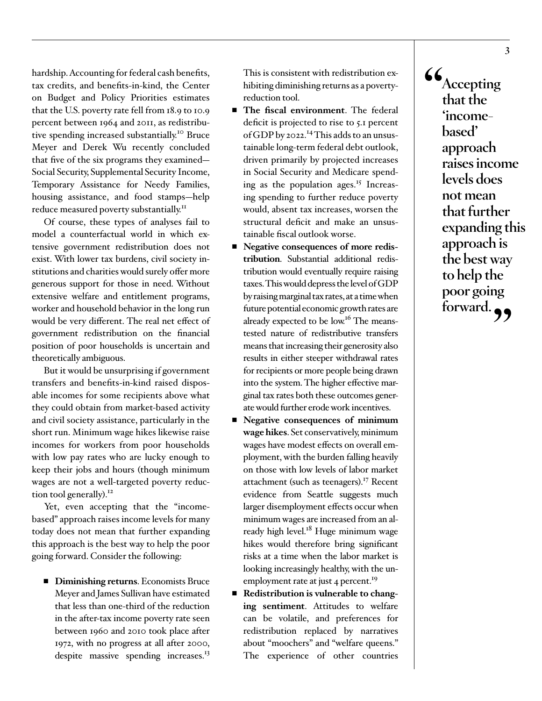hardship. Accounting for federal cash benefits, tax credits, and benefits-in-kind, the Center on Budget and Policy Priorities estimates that the U.S. poverty rate fell from 18.9 to 10.9 percent between 1964 and 2011, as redistributive spending increased substantially.10 Bruce Meyer and Derek Wu recently concluded that five of the six programs they examined— Social Security, Supplemental Security Income, Temporary Assistance for Needy Families, housing assistance, and food stamps—help reduce measured poverty substantially.<sup>11</sup>

Of course, these types of analyses fail to model a counterfactual world in which extensive government redistribution does not exist. With lower tax burdens, civil society institutions and charities would surely offer more generous support for those in need. Without extensive welfare and entitlement programs, worker and household behavior in the long run would be very different. The real net effect of government redistribution on the financial position of poor households is uncertain and theoretically ambiguous.

But it would be unsurprising if government transfers and benefits-in-kind raised disposable incomes for some recipients above what they could obtain from market-based activity and civil society assistance, particularly in the short run. Minimum wage hikes likewise raise incomes for workers from poor households with low pay rates who are lucky enough to keep their jobs and hours (though minimum wages are not a well-targeted poverty reduction tool generally).<sup>12</sup>

Yet, even accepting that the "incomebased" approach raises income levels for many today does not mean that further expanding this approach is the best way to help the poor going forward. Consider the following:

■ **Diminishing returns**. Economists Bruce Meyer and James Sullivan have estimated that less than one-third of the reduction in the after-tax income poverty rate seen between 1960 and 2010 took place after 1972, with no progress at all after 2000, despite massive spending increases.<sup>13</sup>

This is consistent with redistribution exhibiting diminishing returns as a povertyreduction tool.

- **The fiscal environment**. The federal deficit is projected to rise to 5.1 percent of GDP by 2022.<sup>14</sup> This adds to an unsustainable long-term federal debt outlook, driven primarily by projected increases in Social Security and Medicare spending as the population ages.<sup>15</sup> Increasing spending to further reduce poverty would, absent tax increases, worsen the structural deficit and make an unsustainable fiscal outlook worse.
- **Negative consequences of more redistribution**. Substantial additional redistribution would eventually require raising taxes. This would depress the level of GDP by raising marginal tax rates, at a time when future potential economic growth rates are already expected to be  $\text{low}^{16}$  The meanstested nature of redistributive transfers means that increasing their generosity also results in either steeper withdrawal rates for recipients or more people being drawn into the system. The higher effective marginal tax rates both these outcomes generate would further erode work incentives.
- **Negative consequences of minimum wage hikes**. Set conservatively, minimum wages have modest effects on overall employment, with the burden falling heavily on those with low levels of labor market attachment (such as teenagers).<sup>17</sup> Recent evidence from Seattle suggests much larger disemployment effects occur when minimum wages are increased from an already high level. $18$  Huge minimum wage hikes would therefore bring significant risks at a time when the labor market is looking increasingly healthy, with the unemployment rate at just 4 percent.<sup>19</sup>
- **Redistribution is vulnerable to changing sentiment**. Attitudes to welfare can be volatile, and preferences for redistribution replaced by narratives about "moochers" and "welfare queens." The experience of other countries

**"Accepting that the 'incomebased' approach raises income levels does not mean that further expanding this approach is the best way to help the poor going**  forward.<sub>?</sub>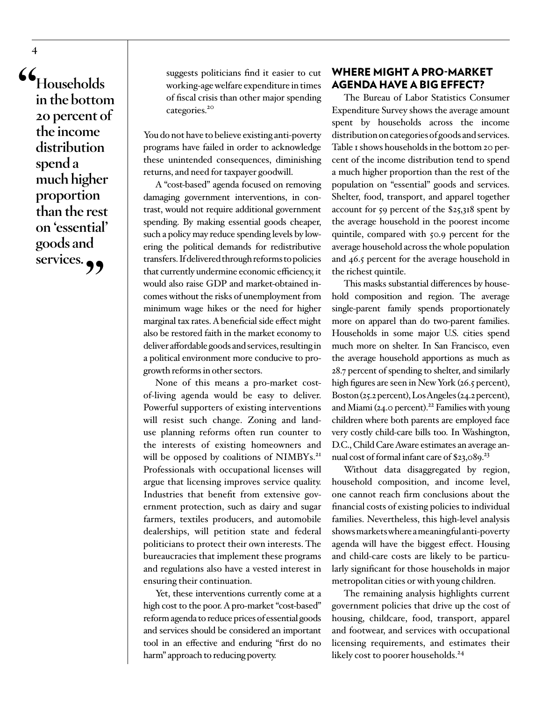**"Households in the bottom 20 percent of the income distribution spend a much higher proportion than the rest on 'essential' goods and**  services.<sub>?</sub>

suggests politicians find it easier to cut working-age welfare expenditure in times of fiscal crisis than other major spending categories.<sup>20</sup>

You do not have to believe existing anti-poverty programs have failed in order to acknowledge these unintended consequences, diminishing returns, and need for taxpayer goodwill.

A "cost-based" agenda focused on removing damaging government interventions, in contrast, would not require additional government spending. By making essential goods cheaper, such a policy may reduce spending levels by lowering the political demands for redistributive transfers. If delivered through reforms to policies that currently undermine economic efficiency, it would also raise GDP and market-obtained incomes without the risks of unemployment from minimum wage hikes or the need for higher marginal tax rates. A beneficial side effect might also be restored faith in the market economy to deliver affordable goods and services, resulting in a political environment more conducive to progrowth reforms in other sectors.

None of this means a pro-market costof-living agenda would be easy to deliver. Powerful supporters of existing interventions will resist such change. Zoning and landuse planning reforms often run counter to the interests of existing homeowners and will be opposed by coalitions of NIMBYs.<sup>21</sup> Professionals with occupational licenses will argue that licensing improves service quality. Industries that benefit from extensive government protection, such as dairy and sugar farmers, textiles producers, and automobile dealerships, will petition state and federal politicians to protect their own interests. The bureaucracies that implement these programs and regulations also have a vested interest in ensuring their continuation.

Yet, these interventions currently come at a high cost to the poor. A pro-market "cost-based" reform agenda to reduce prices of essential goods and services should be considered an important tool in an effective and enduring "first do no harm" approach to reducing poverty.

## WHERE MIGHT A PRO-MARKET AGENDA HAVE A BIG EFFECT?

The Bureau of Labor Statistics Consumer Expenditure Survey shows the average amount spent by households across the income distribution on categories of goods and services. Table 1 shows households in the bottom 20 percent of the income distribution tend to spend a much higher proportion than the rest of the population on "essential" goods and services. Shelter, food, transport, and apparel together account for 59 percent of the \$25,318 spent by the average household in the poorest income quintile, compared with 50.9 percent for the average household across the whole population and 46.5 percent for the average household in the richest quintile.

This masks substantial differences by household composition and region. The average single-parent family spends proportionately more on apparel than do two-parent families. Households in some major U.S. cities spend much more on shelter. In San Francisco, even the average household apportions as much as 28.7 percent of spending to shelter, and similarly high figures are seen in New York (26.5 percent), Boston (25.2 percent), Los Angeles (24.2 percent), and Miami (24.0 percent).<sup>22</sup> Families with young children where both parents are employed face very costly child-care bills too. In Washington, D.C., Child Care Aware estimates an average annual cost of formal infant care of \$23,089.<sup>23</sup>

Without data disaggregated by region, household composition, and income level, one cannot reach firm conclusions about the financial costs of existing policies to individual families. Nevertheless, this high-level analysis shows markets where a meaningful anti-poverty agenda will have the biggest effect. Housing and child-care costs are likely to be particularly significant for those households in major metropolitan cities or with young children.

The remaining analysis highlights current government policies that drive up the cost of housing, childcare, food, transport, apparel and footwear, and services with occupational licensing requirements, and estimates their likely cost to poorer households.<sup>24</sup>

**4**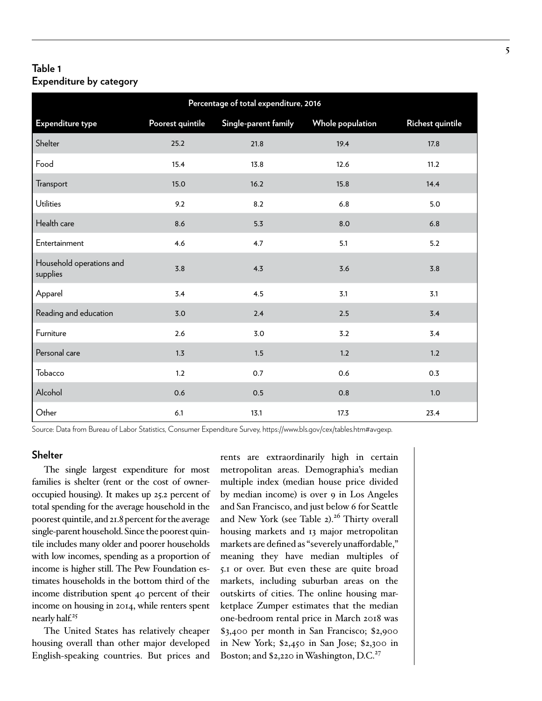#### **Table 1 Expenditure by category**

| Percentage of total expenditure, 2016 |                  |                      |                  |                  |  |  |  |
|---------------------------------------|------------------|----------------------|------------------|------------------|--|--|--|
| Expenditure type                      | Poorest quintile | Single-parent family | Whole population | Richest quintile |  |  |  |
| Shelter                               | 25.2             | 21.8                 | 19.4             | 17.8             |  |  |  |
| Food                                  | 15.4             | 13.8                 | 12.6             | 11.2             |  |  |  |
| Transport                             | 15.0             | 16.2                 | 15.8             | 14.4             |  |  |  |
| Utilities                             | 9.2              | 8.2                  | 6.8              | 5.0              |  |  |  |
| Health care                           | 8.6              | 5.3                  | 8.0              | 6.8              |  |  |  |
| Entertainment                         | 4.6              | 4.7                  | 5.1              | 5.2              |  |  |  |
| Household operations and<br>supplies  | 3.8              | 4.3                  | 3.6              | 3.8              |  |  |  |
| Apparel                               | 3.4              | 4.5                  | 3.1              | 3.1              |  |  |  |
| Reading and education                 | 3.0              | 2.4                  | 2.5              | 3.4              |  |  |  |
| Furniture                             | 2.6              | 3.0                  | 3.2              | 3.4              |  |  |  |
| Personal care                         | 1.3              | 1.5                  | 1.2              | 1.2              |  |  |  |
| Tobacco                               | 1.2              | 0.7                  | 0.6              | 0.3              |  |  |  |
| Alcohol                               | 0.6              | 0.5                  | 0.8              | 1.0              |  |  |  |
| Other                                 | 6.1              | 13.1                 | 17.3             | 23.4             |  |  |  |

Source: Data from Bureau of Labor Statistics, Consumer Expenditure Survey, [https://www.bls.gov/cex/tables.htm#avgexp.](https://www.bls.gov/cex/tables.htm#avgexp)

#### **Shelter**

The single largest expenditure for most families is shelter (rent or the cost of owneroccupied housing). It makes up 25.2 percent of total spending for the average household in the poorest quintile, and 21.8 percent for the average single-parent household. Since the poorest quintile includes many older and poorer households with low incomes, spending as a proportion of income is higher still. The Pew Foundation estimates households in the bottom third of the income distribution spent 40 percent of their income on housing in 2014, while renters spent nearly half.25

The United States has relatively cheaper housing overall than other major developed English-speaking countries. But prices and

rents are extraordinarily high in certain metropolitan areas. Demographia's median multiple index (median house price divided by median income) is over 9 in Los Angeles and San Francisco, and just below 6 for Seattle and New York (see Table 2).<sup>26</sup> Thirty overall housing markets and 13 major metropolitan markets are defined as "severely unaffordable," meaning they have median multiples of 5.1 or over. But even these are quite broad markets, including suburban areas on the outskirts of cities. The online housing marketplace Zumper estimates that the median one-bedroom rental price in March 2018 was \$3,400 per month in San Francisco; \$2,900 in New York; \$2,450 in San Jose; \$2,300 in Boston; and \$2,220 in Washington, D.C.<sup>27</sup>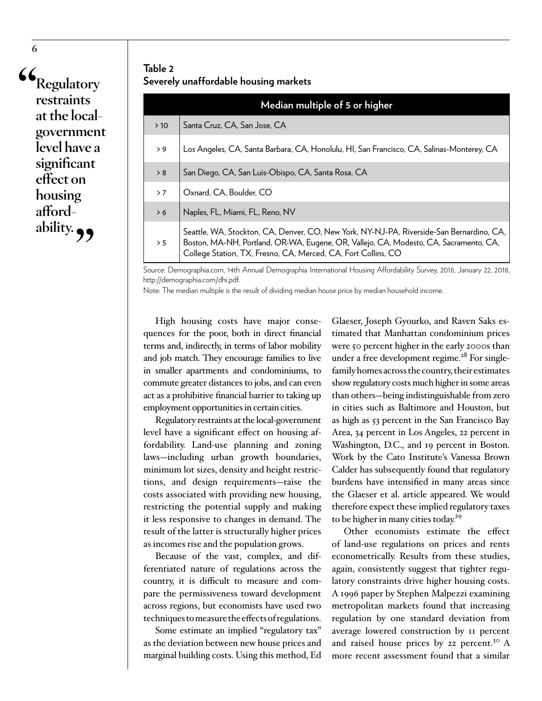**"Regulatory restraints at the localgovernment level have a significant effect on housing afford**ability.

## **Table 2 Severely unaffordable housing markets**

|     | Median multiple of 5 or higher                                                                                                                                                                                                                     |  |  |  |  |
|-----|----------------------------------------------------------------------------------------------------------------------------------------------------------------------------------------------------------------------------------------------------|--|--|--|--|
| >10 | Santa Cruz, CA, San Jose, CA                                                                                                                                                                                                                       |  |  |  |  |
| > 9 | Los Angeles, CA, Santa Barbara, CA, Honolulu, HI, San Francisco, CA, Salinas-Monterey, CA                                                                                                                                                          |  |  |  |  |
| > 8 | San Diego, CA, San Luis-Obispo, CA, Santa Rosa, CA                                                                                                                                                                                                 |  |  |  |  |
| > 7 | Oxnard, CA, Boulder, CO                                                                                                                                                                                                                            |  |  |  |  |
| > 6 | Naples, FL, Miami, FL, Reno, NV                                                                                                                                                                                                                    |  |  |  |  |
| > 5 | Seattle, WA, Stockton, CA, Denver, CO, New York, NY-NJ-PA, Riverside-San Bernardino, CA,<br>Boston, MA-NH, Portland, OR-WA, Eugene, OR, Vallejo, CA, Modesto, CA, Sacramento, CA,<br>College Station, TX, Fresno, CA, Merced, CA, Fort Collins, CO |  |  |  |  |

Source: Demographia.com, 14th Annual Demographia International Housing Affordability Survey, 2018, January 22, 2018, <http://demographia.com/dhi.pdf>.

Note: The median multiple is the result of dividing median house price by median household income.

High housing costs have major consequences for the poor, both in direct financial terms and, indirectly, in terms of labor mobility and job match. They encourage families to live in smaller apartments and condominiums, to commute greater distances to jobs, and can even act as a prohibitive financial barrier to taking up employment opportunities in certain cities.

Regulatory restraints at the local-government level have a significant effect on housing affordability. Land-use planning and zoning laws—including urban growth boundaries, minimum lot sizes, density and height restrictions, and design requirements—raise the costs associated with providing new housing, restricting the potential supply and making it less responsive to changes in demand. The result of the latter is structurally higher prices as incomes rise and the population grows.

Because of the vast, complex, and differentiated nature of regulations across the country, it is difficult to measure and compare the permissiveness toward development across regions, but economists have used two techniques to measure the effects of regulations.

Some estimate an implied "regulatory tax" as the deviation between new house prices and marginal building costs. Using this method, Ed

Glaeser, Joseph Gyourko, and Raven Saks estimated that Manhattan condominium prices were 50 percent higher in the early 2000s than under a free development regime.<sup>28</sup> For singlefamily homes across the country, their estimates show regulatory costs much higher in some areas than others—being indistinguishable from zero in cities such as Baltimore and Houston, but as high as 53 percent in the San Francisco Bay Area, 34 percent in Los Angeles, 22 percent in Washington, D.C., and 19 percent in Boston. Work by the Cato Institute's Vanessa Brown Calder has subsequently found that regulatory burdens have intensified in many areas since the Glaeser et al. article appeared. We would therefore expect these implied regulatory taxes to be higher in many cities today.<sup>29</sup>

Other economists estimate the effect of land-use regulations on prices and rents econometrically. Results from these studies, again, consistently suggest that tighter regulatory constraints drive higher housing costs. A 1996 paper by Stephen Malpezzi examining metropolitan markets found that increasing regulation by one standard deviation from average lowered construction by 11 percent and raised house prices by 22 percent.<sup>30</sup> A more recent assessment found that a similar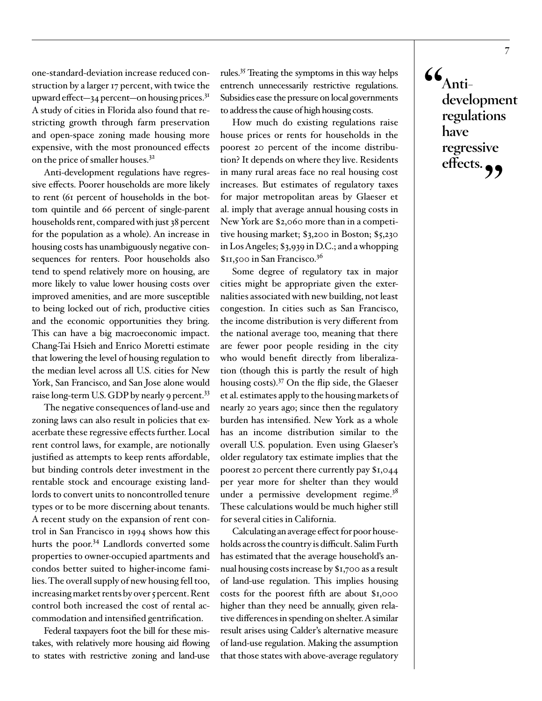one-standard-deviation increase reduced construction by a larger 17 percent, with twice the upward effect—34 percent—on housing prices. $3<sup>I</sup>$ A study of cities in Florida also found that restricting growth through farm preservation and open-space zoning made housing more expensive, with the most pronounced effects on the price of smaller houses.32

Anti-development regulations have regressive effects. Poorer households are more likely to rent (61 percent of households in the bottom quintile and 66 percent of single-parent households rent, compared with just 38 percent for the population as a whole). An increase in housing costs has unambiguously negative consequences for renters. Poor households also tend to spend relatively more on housing, are more likely to value lower housing costs over improved amenities, and are more susceptible to being locked out of rich, productive cities and the economic opportunities they bring. This can have a big macroeconomic impact. Chang-Tai Hsieh and Enrico Moretti estimate that lowering the level of housing regulation to the median level across all U.S. cities for New York, San Francisco, and San Jose alone would raise long-term U.S. GDP by nearly 9 percent.<sup>33</sup>

The negative consequences of land-use and zoning laws can also result in policies that exacerbate these regressive effects further. Local rent control laws, for example, are notionally justified as attempts to keep rents affordable, but binding controls deter investment in the rentable stock and encourage existing landlords to convert units to noncontrolled tenure types or to be more discerning about tenants. A recent study on the expansion of rent control in San Francisco in 1994 shows how this hurts the poor.<sup>34</sup> Landlords converted some properties to owner-occupied apartments and condos better suited to higher-income families. The overall supply of new housing fell too, increasing market rents by over 5 percent. Rent control both increased the cost of rental accommodation and intensified gentrification.

Federal taxpayers foot the bill for these mistakes, with relatively more housing aid flowing to states with restrictive zoning and land-use

rules.35 Treating the symptoms in this way helps entrench unnecessarily restrictive regulations. Subsidies ease the pressure on local governments to address the cause of high housing costs.

How much do existing regulations raise house prices or rents for households in the poorest 20 percent of the income distribution? It depends on where they live. Residents in many rural areas face no real housing cost increases. But estimates of regulatory taxes for major metropolitan areas by Glaeser et al. imply that average annual housing costs in New York are \$2,060 more than in a competitive housing market; \$3,200 in Boston; \$5,230 in Los Angeles; \$3,939 in D.C.; and a whopping \$11,500 in San Francisco.36

Some degree of regulatory tax in major cities might be appropriate given the externalities associated with new building, not least congestion. In cities such as San Francisco, the income distribution is very different from the national average too, meaning that there are fewer poor people residing in the city who would benefit directly from liberalization (though this is partly the result of high housing costs).37 On the flip side, the Glaeser et al. estimates apply to the housing markets of nearly 20 years ago; since then the regulatory burden has intensified. New York as a whole has an income distribution similar to the overall U.S. population. Even using Glaeser's older regulatory tax estimate implies that the poorest 20 percent there currently pay \$1,044 per year more for shelter than they would under a permissive development regime.<sup>38</sup> These calculations would be much higher still for several cities in California.

Calculating an average effect for poor households across the country is difficult. Salim Furth has estimated that the average household's annual housing costs increase by \$1,700 as a result of land-use regulation. This implies housing costs for the poorest fifth are about \$1,000 higher than they need be annually, given relative differences in spending on shelter. A similar result arises using Calder's alternative measure of land-use regulation. Making the assumption that those states with above-average regulatory  $\mathcal{L}_{\text{Anti-}}$ **development regulations have regressive effects."**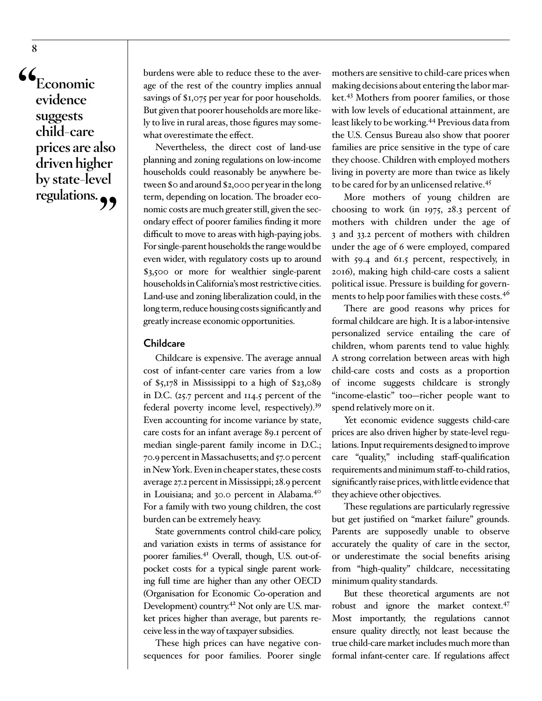**"Economic evidence suggests child-care prices are also driven higher by state-level regulations."**

burdens were able to reduce these to the average of the rest of the country implies annual savings of \$1,075 per year for poor households. But given that poorer households are more likely to live in rural areas, those figures may somewhat overestimate the effect.

Nevertheless, the direct cost of land-use planning and zoning regulations on low-income households could reasonably be anywhere between \$0 and around \$2,000 per year in the long term, depending on location. The broader economic costs are much greater still, given the secondary effect of poorer families finding it more difficult to move to areas with high-paying jobs. For single-parent households the range would be even wider, with regulatory costs up to around \$3,500 or more for wealthier single-parent households in California's most restrictive cities. Land-use and zoning liberalization could, in the long term, reduce housing costs significantly and greatly increase economic opportunities.

#### **Childcare**

Childcare is expensive. The average annual cost of infant-center care varies from a low of \$5,178 in Mississippi to a high of \$23,089 in D.C. (25.7 percent and 114.5 percent of the federal poverty income level, respectively).39 Even accounting for income variance by state, care costs for an infant average 89.1 percent of median single-parent family income in D.C.; 70.9 percent in Massachusetts; and 57.0 percent in New York. Even in cheaper states, these costs average 27.2 percent in Mississippi; 28.9 percent in Louisiana; and 30.0 percent in Alabama.40 For a family with two young children, the cost burden can be extremely heavy.

State governments control child-care policy, and variation exists in terms of assistance for poorer families.<sup>41</sup> Overall, though, U.S. out-ofpocket costs for a typical single parent working full time are higher than any other OECD (Organisation for Economic Co-operation and Development) country.<sup>42</sup> Not only are U.S. market prices higher than average, but parents receive less in the way of taxpayer subsidies.

These high prices can have negative consequences for poor families. Poorer single

mothers are sensitive to child-care prices when making decisions about entering the labor market.<sup>43</sup> Mothers from poorer families, or those with low levels of educational attainment, are least likely to be working.44 Previous data from the U.S. Census Bureau also show that poorer families are price sensitive in the type of care they choose. Children with employed mothers living in poverty are more than twice as likely to be cared for by an unlicensed relative.<sup>45</sup>

More mothers of young children are choosing to work (in 1975, 28.3 percent of mothers with children under the age of 3 and 33.2 percent of mothers with children under the age of 6 were employed, compared with 59.4 and 61.5 percent, respectively, in 2016), making high child-care costs a salient political issue. Pressure is building for governments to help poor families with these costs.<sup>46</sup>

There are good reasons why prices for formal childcare are high. It is a labor-intensive personalized service entailing the care of children, whom parents tend to value highly. A strong correlation between areas with high child-care costs and costs as a proportion of income suggests childcare is strongly "income-elastic" too—richer people want to spend relatively more on it.

Yet economic evidence suggests child-care prices are also driven higher by state-level regulations. Input requirements designed to improve care "quality," including staff-qualification requirements and minimum staff-to-child ratios, significantly raise prices, with little evidence that they achieve other objectives.

These regulations are particularly regressive but get justified on "market failure" grounds. Parents are supposedly unable to observe accurately the quality of care in the sector, or underestimate the social benefits arising from "high-quality" childcare, necessitating minimum quality standards.

But these theoretical arguments are not robust and ignore the market context.47 Most importantly, the regulations cannot ensure quality directly, not least because the true child-care market includes much more than formal infant-center care. If regulations affect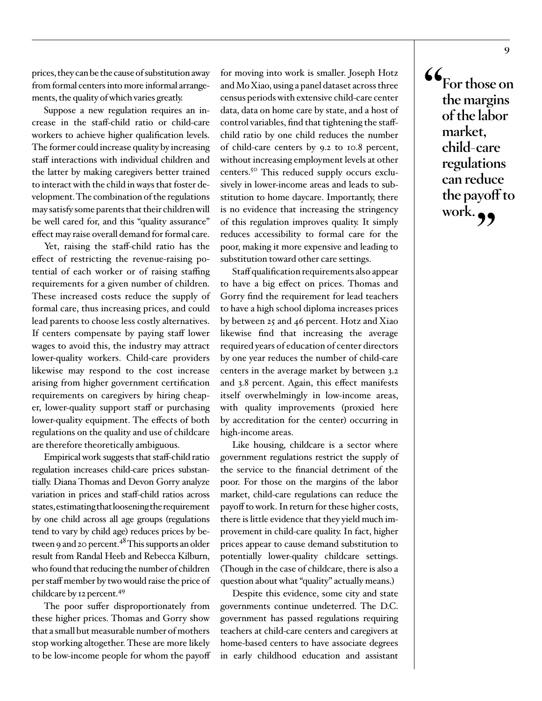prices, they can be the cause of substitution away from formal centers into more informal arrangements, the quality of which varies greatly.

Suppose a new regulation requires an increase in the staff-child ratio or child-care workers to achieve higher qualification levels. The former could increase quality by increasing staff interactions with individual children and the latter by making caregivers better trained to interact with the child in ways that foster development. The combination of the regulations may satisfy some parents that their children will be well cared for, and this "quality assurance" effect may raise overall demand for formal care.

Yet, raising the staff-child ratio has the effect of restricting the revenue-raising potential of each worker or of raising staffing requirements for a given number of children. These increased costs reduce the supply of formal care, thus increasing prices, and could lead parents to choose less costly alternatives. If centers compensate by paying staff lower wages to avoid this, the industry may attract lower-quality workers. Child-care providers likewise may respond to the cost increase arising from higher government certification requirements on caregivers by hiring cheaper, lower-quality support staff or purchasing lower-quality equipment. The effects of both regulations on the quality and use of childcare are therefore theoretically ambiguous.

Empirical work suggests that staff-child ratio regulation increases child-care prices substantially. Diana Thomas and Devon Gorry analyze variation in prices and staff-child ratios across states, estimating that loosening the requirement by one child across all age groups (regulations tend to vary by child age) reduces prices by between 9 and 20 percent.<sup>48</sup> This supports an older result from Randal Heeb and Rebecca Kilburn, who found that reducing the number of children per staff member by two would raise the price of childcare by 12 percent.<sup>49</sup>

The poor suffer disproportionately from these higher prices. Thomas and Gorry show that a small but measurable number of mothers stop working altogether. These are more likely to be low-income people for whom the payoff for moving into work is smaller. Joseph Hotz and Mo Xiao, using a panel dataset across three census periods with extensive child-care center data, data on home care by state, and a host of control variables, find that tightening the staffchild ratio by one child reduces the number of child-care centers by 9.2 to 10.8 percent, without increasing employment levels at other centers.50 This reduced supply occurs exclusively in lower-income areas and leads to substitution to home daycare. Importantly, there is no evidence that increasing the stringency of this regulation improves quality. It simply reduces accessibility to formal care for the poor, making it more expensive and leading to substitution toward other care settings.

Staff qualification requirements also appear to have a big effect on prices. Thomas and Gorry find the requirement for lead teachers to have a high school diploma increases prices by between 25 and 46 percent. Hotz and Xiao likewise find that increasing the average required years of education of center directors by one year reduces the number of child-care centers in the average market by between 3.2 and 3.8 percent. Again, this effect manifests itself overwhelmingly in low-income areas, with quality improvements (proxied here by accreditation for the center) occurring in high-income areas.

Like housing, childcare is a sector where government regulations restrict the supply of the service to the financial detriment of the poor. For those on the margins of the labor market, child-care regulations can reduce the payoff to work. In return for these higher costs, there is little evidence that they yield much improvement in child-care quality. In fact, higher prices appear to cause demand substitution to potentially lower-quality childcare settings. (Though in the case of childcare, there is also a question about what "quality" actually means.)

Despite this evidence, some city and state governments continue undeterred. The D.C. government has passed regulations requiring teachers at child-care centers and caregivers at home-based centers to have associate degrees in early childhood education and assistant **"For those on the margins of the labor market, child-care regulations can reduce the payoff to**  work.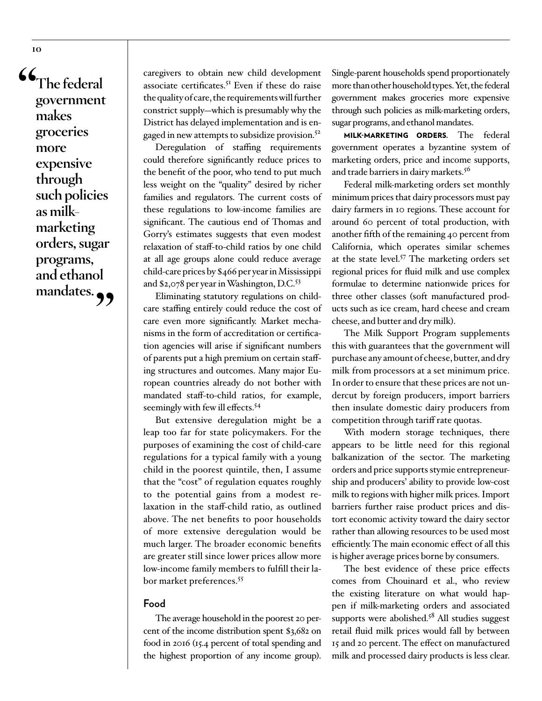**"The federal government makes groceries more expensive through such policies as milkmarketing orders, sugar programs, and ethanol**  mandates.<sub>?</sub>

caregivers to obtain new child development associate certificates.<sup>51</sup> Even if these do raise the quality of care, the requirements will further constrict supply—which is presumably why the District has delayed implementation and is engaged in new attempts to subsidize provision.<sup>52</sup>

Deregulation of staffing requirements could therefore significantly reduce prices to the benefit of the poor, who tend to put much less weight on the "quality" desired by richer families and regulators. The current costs of these regulations to low-income families are significant. The cautious end of Thomas and Gorry's estimates suggests that even modest relaxation of staff-to-child ratios by one child at all age groups alone could reduce average child-care prices by \$466 per year in Mississippi and \$2,078 per year in Washington, D.C.53

Eliminating statutory regulations on childcare staffing entirely could reduce the cost of care even more significantly. Market mechanisms in the form of accreditation or certification agencies will arise if significant numbers of parents put a high premium on certain staffing structures and outcomes. Many major European countries already do not bother with mandated staff-to-child ratios, for example, seemingly with few ill effects.<sup>54</sup>

But extensive deregulation might be a leap too far for state policymakers. For the purposes of examining the cost of child-care regulations for a typical family with a young child in the poorest quintile, then, I assume that the "cost" of regulation equates roughly to the potential gains from a modest relaxation in the staff-child ratio, as outlined above. The net benefits to poor households of more extensive deregulation would be much larger. The broader economic benefits are greater still since lower prices allow more low-income family members to fulfill their labor market preferences.<sup>55</sup>

#### **Food**

The average household in the poorest 20 percent of the income distribution spent \$3,682 on food in 2016 (15.4 percent of total spending and the highest proportion of any income group).

Single-parent households spend proportionately more than other household types. Yet, the federal government makes groceries more expensive through such policies as milk-marketing orders, sugar programs, and ethanol mandates.

MILK-MARKETING ORDERS. The federal government operates a byzantine system of marketing orders, price and income supports, and trade barriers in dairy markets.<sup>56</sup>

Federal milk-marketing orders set monthly minimum prices that dairy processors must pay dairy farmers in 10 regions. These account for around 60 percent of total production, with another fifth of the remaining 40 percent from California, which operates similar schemes at the state level.57 The marketing orders set regional prices for fluid milk and use complex formulae to determine nationwide prices for three other classes (soft manufactured products such as ice cream, hard cheese and cream cheese, and butter and dry milk).

The Milk Support Program supplements this with guarantees that the government will purchase any amount of cheese, butter, and dry milk from processors at a set minimum price. In order to ensure that these prices are not undercut by foreign producers, import barriers then insulate domestic dairy producers from competition through tariff rate quotas.

With modern storage techniques, there appears to be little need for this regional balkanization of the sector. The marketing orders and price supports stymie entrepreneurship and producers' ability to provide low-cost milk to regions with higher milk prices. Import barriers further raise product prices and distort economic activity toward the dairy sector rather than allowing resources to be used most efficiently. The main economic effect of all this is higher average prices borne by consumers.

The best evidence of these price effects comes from Chouinard et al., who review the existing literature on what would happen if milk-marketing orders and associated supports were abolished.<sup>58</sup> All studies suggest retail fluid milk prices would fall by between 15 and 20 percent. The effect on manufactured milk and processed dairy products is less clear.

**10**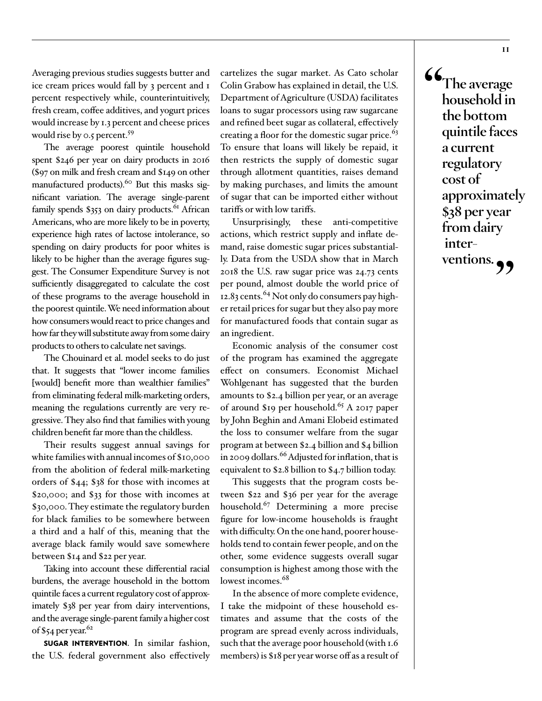Averaging previous studies suggests butter and ice cream prices would fall by 3 percent and 1 percent respectively while, counterintuitively, fresh cream, coffee additives, and yogurt prices would increase by 1.3 percent and cheese prices would rise by 0.5 percent.<sup>59</sup>

The average poorest quintile household spent \$246 per year on dairy products in 2016 (\$97 on milk and fresh cream and \$149 on other manufactured products).<sup>60</sup> But this masks significant variation. The average single-parent family spends  $\$353$  on dairy products.<sup>61</sup> African Americans, who are more likely to be in poverty, experience high rates of lactose intolerance, so spending on dairy products for poor whites is likely to be higher than the average figures suggest. The Consumer Expenditure Survey is not sufficiently disaggregated to calculate the cost of these programs to the average household in the poorest quintile. We need information about how consumers would react to price changes and how far they will substitute away from some dairy products to others to calculate net savings.

The Chouinard et al. model seeks to do just that. It suggests that "lower income families [would] benefit more than wealthier families" from eliminating federal milk-marketing orders, meaning the regulations currently are very regressive. They also find that families with young children benefit far more than the childless.

Their results suggest annual savings for white families with annual incomes of \$10,000 from the abolition of federal milk-marketing orders of \$44; \$38 for those with incomes at \$20,000; and \$33 for those with incomes at \$30,000. They estimate the regulatory burden for black families to be somewhere between a third and a half of this, meaning that the average black family would save somewhere between \$14 and \$22 per year.

Taking into account these differential racial burdens, the average household in the bottom quintile faces a current regulatory cost of approximately \$38 per year from dairy interventions, and the average single-parent family a higher cost of \$54 per year. $62$ 

SUGAR INTERVENTION. In similar fashion, the U.S. federal government also effectively cartelizes the sugar market. As Cato scholar Colin Grabow has explained in detail, the U.S. Department of Agriculture (USDA) facilitates loans to sugar processors using raw sugarcane and refined beet sugar as collateral, effectively creating a floor for the domestic sugar price.<sup>63</sup> To ensure that loans will likely be repaid, it then restricts the supply of domestic sugar through allotment quantities, raises demand by making purchases, and limits the amount of sugar that can be imported either without tariffs or with low tariffs.

Unsurprisingly, these anti-competitive actions, which restrict supply and inflate demand, raise domestic sugar prices substantially. Data from the USDA show that in March 2018 the U.S. raw sugar price was 24.73 cents per pound, almost double the world price of 12.83 cents.<sup>64</sup> Not only do consumers pay higher retail prices for sugar but they also pay more for manufactured foods that contain sugar as an ingredient.

Economic analysis of the consumer cost of the program has examined the aggregate effect on consumers. Economist Michael Wohlgenant has suggested that the burden amounts to \$2.4 billion per year, or an average of around \$19 per household.<sup>65</sup> A 2017 paper by John Beghin and Amani Elobeid estimated the loss to consumer welfare from the sugar program at between \$2.4 billion and \$4 billion in 2009 dollars.<sup>66</sup> Adjusted for inflation, that is equivalent to \$2.8 billion to \$4.7 billion today.

This suggests that the program costs between \$22 and \$36 per year for the average household.<sup>67</sup> Determining a more precise figure for low-income households is fraught with difficulty. On the one hand, poorer households tend to contain fewer people, and on the other, some evidence suggests overall sugar consumption is highest among those with the lowest incomes.<sup>68</sup>

In the absence of more complete evidence, I take the midpoint of these household estimates and assume that the costs of the program are spread evenly across individuals, such that the average poor household (with 1.6 members) is \$18 per year worse off as a result of **"The average household in the bottom quintile faces a current regulatory cost of approximately \$38 per year from dairy inter**ventions.<sub>?</sub>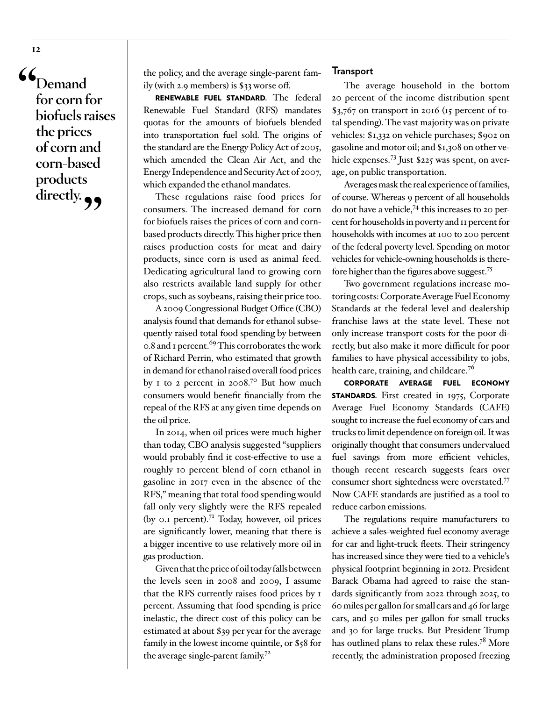**"Demand for corn for biofuels raises the prices of corn and corn-based products**  directly.<sub>99</sub>

the policy, and the average single-parent family (with 2.9 members) is \$33 worse off.

RENEWABLE FUEL STANDARD. The federal Renewable Fuel Standard (RFS) mandates quotas for the amounts of biofuels blended into transportation fuel sold. The origins of the standard are the Energy Policy Act of 2005, which amended the Clean Air Act, and the Energy Independence and Security Act of 2007, which expanded the ethanol mandates.

These regulations raise food prices for consumers. The increased demand for corn for biofuels raises the prices of corn and cornbased products directly. This higher price then raises production costs for meat and dairy products, since corn is used as animal feed. Dedicating agricultural land to growing corn also restricts available land supply for other crops, such as soybeans, raising their price too.

A 2009 Congressional Budget Office (CBO) analysis found that demands for ethanol subsequently raised total food spending by between o.8 and 1 percent.<sup>69</sup> This corroborates the work of Richard Perrin, who estimated that growth in demand for ethanol raised overall food prices by  $\sigma$  to  $\sigma$  percent in 2008.<sup>70</sup> But how much consumers would benefit financially from the repeal of the RFS at any given time depends on the oil price.

In 2014, when oil prices were much higher than today, CBO analysis suggested "suppliers would probably find it cost-effective to use a roughly 10 percent blend of corn ethanol in gasoline in 2017 even in the absence of the RFS," meaning that total food spending would fall only very slightly were the RFS repealed (by  $o$ . percent).<sup>71</sup> Today, however, oil prices are significantly lower, meaning that there is a bigger incentive to use relatively more oil in gas production.

Given that the price of oil today falls between the levels seen in 2008 and 2009, I assume that the RFS currently raises food prices by 1 percent. Assuming that food spending is price inelastic, the direct cost of this policy can be estimated at about \$39 per year for the average family in the lowest income quintile, or \$58 for the average single-parent family.<sup>72</sup>

#### **Transport**

The average household in the bottom 20 percent of the income distribution spent \$3,767 on transport in 2016 (15 percent of total spending). The vast majority was on private vehicles: \$1,332 on vehicle purchases; \$902 on gasoline and motor oil; and \$1,308 on other vehicle expenses.73 Just \$225 was spent, on average, on public transportation.

Averages mask the real experience of families, of course. Whereas 9 percent of all households do not have a vehicle,74 this increases to 20 percent for households in poverty and 11 percent for households with incomes at 100 to 200 percent of the federal poverty level. Spending on motor vehicles for vehicle-owning households is therefore higher than the figures above suggest.75

Two government regulations increase motoring costs: Corporate Average Fuel Economy Standards at the federal level and dealership franchise laws at the state level. These not only increase transport costs for the poor directly, but also make it more difficult for poor families to have physical accessibility to jobs, health care, training, and childcare.<sup>76</sup>

CORPORATE AVERAGE FUEL ECONOMY **STANDARDS.** First created in 1975, Corporate Average Fuel Economy Standards (CAFE) sought to increase the fuel economy of cars and trucks to limit dependence on foreign oil. It was originally thought that consumers undervalued fuel savings from more efficient vehicles, though recent research suggests fears over consumer short sightedness were overstated.77 Now CAFE standards are justified as a tool to reduce carbon emissions.

The regulations require manufacturers to achieve a sales-weighted fuel economy average for car and light-truck fleets. Their stringency has increased since they were tied to a vehicle's physical footprint beginning in 2012. President Barack Obama had agreed to raise the standards significantly from 2022 through 2025, to 60 miles per gallon for small cars and 46 for large cars, and 50 miles per gallon for small trucks and 30 for large trucks. But President Trump has outlined plans to relax these rules.<sup>78</sup> More recently, the administration proposed freezing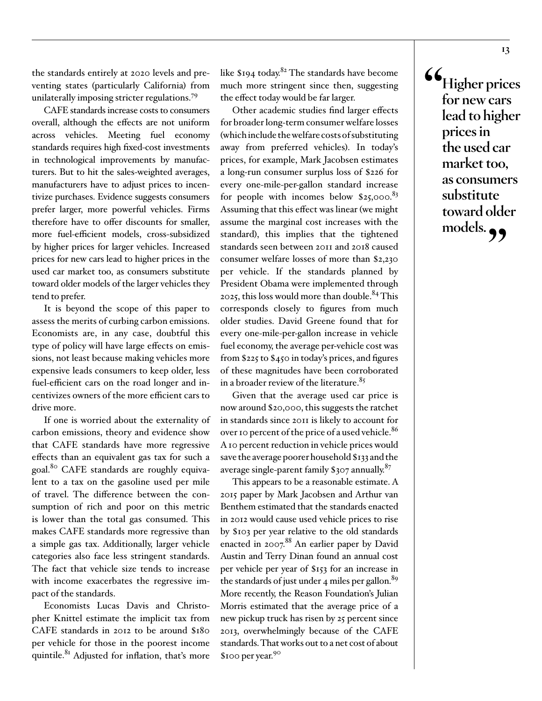the standards entirely at 2020 levels and preventing states (particularly California) from unilaterally imposing stricter regulations.79

CAFE standards increase costs to consumers overall, although the effects are not uniform across vehicles. Meeting fuel economy standards requires high fixed-cost investments in technological improvements by manufacturers. But to hit the sales-weighted averages, manufacturers have to adjust prices to incentivize purchases. Evidence suggests consumers prefer larger, more powerful vehicles. Firms therefore have to offer discounts for smaller, more fuel-efficient models, cross-subsidized by higher prices for larger vehicles. Increased prices for new cars lead to higher prices in the used car market too, as consumers substitute toward older models of the larger vehicles they tend to prefer.

It is beyond the scope of this paper to assess the merits of curbing carbon emissions. Economists are, in any case, doubtful this type of policy will have large effects on emissions, not least because making vehicles more expensive leads consumers to keep older, less fuel-efficient cars on the road longer and incentivizes owners of the more efficient cars to drive more.

If one is worried about the externality of carbon emissions, theory and evidence show that CAFE standards have more regressive effects than an equivalent gas tax for such a goal.80 CAFE standards are roughly equivalent to a tax on the gasoline used per mile of travel. The difference between the consumption of rich and poor on this metric is lower than the total gas consumed. This makes CAFE standards more regressive than a simple gas tax. Additionally, larger vehicle categories also face less stringent standards. The fact that vehicle size tends to increase with income exacerbates the regressive impact of the standards.

Economists Lucas Davis and Christopher Knittel estimate the implicit tax from CAFE standards in 2012 to be around \$180 per vehicle for those in the poorest income quintile.<sup>81</sup> Adjusted for inflation, that's more like  $$194$  today.<sup>82</sup> The standards have become much more stringent since then, suggesting the effect today would be far larger.

Other academic studies find larger effects for broader long-term consumer welfare losses (which include the welfare costs of substituting away from preferred vehicles). In today's prices, for example, Mark Jacobsen estimates a long-run consumer surplus loss of \$226 for every one-mile-per-gallon standard increase for people with incomes below  $$25,000$ .<sup>83</sup> Assuming that this effect was linear (we might assume the marginal cost increases with the standard), this implies that the tightened standards seen between 2011 and 2018 caused consumer welfare losses of more than \$2,230 per vehicle. If the standards planned by President Obama were implemented through 2025, this loss would more than double.<sup>84</sup> This corresponds closely to figures from much older studies. David Greene found that for every one-mile-per-gallon increase in vehicle fuel economy, the average per-vehicle cost was from \$225 to \$450 in today's prices, and figures of these magnitudes have been corroborated in a broader review of the literature. $85$ 

Given that the average used car price is now around \$20,000, this suggests the ratchet in standards since 2011 is likely to account for over 10 percent of the price of a used vehicle.<sup>86</sup> A 10 percent reduction in vehicle prices would save the average poorer household \$133 and the average single-parent family \$307 annually. $87$ 

This appears to be a reasonable estimate. A 2015 paper by Mark Jacobsen and Arthur van Benthem estimated that the standards enacted in 2012 would cause used vehicle prices to rise by \$103 per year relative to the old standards enacted in 2007.<sup>88</sup> An earlier paper by David Austin and Terry Dinan found an annual cost per vehicle per year of \$153 for an increase in the standards of just under 4 miles per gallon. $89$ More recently, the Reason Foundation's Julian Morris estimated that the average price of a new pickup truck has risen by 25 percent since 2013, overwhelmingly because of the CAFE standards. That works out to a net cost of about \$100 per year.90

**"Higher prices for new cars lead to higher prices in the used car market too, as consumers substitute toward older**  models.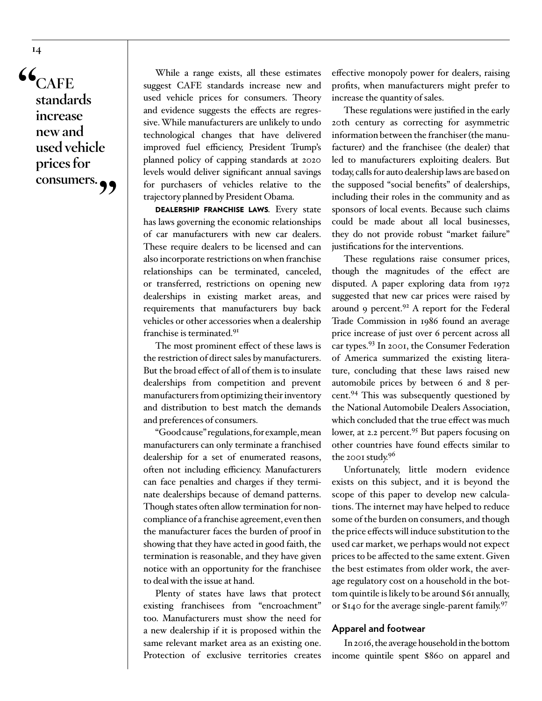**"CAFE standards increase new and used vehicle prices for**  consumers. <sup>1</sup>

While a range exists, all these estimates suggest CAFE standards increase new and used vehicle prices for consumers. Theory and evidence suggests the effects are regressive. While manufacturers are unlikely to undo technological changes that have delivered improved fuel efficiency, President Trump's planned policy of capping standards at 2020 levels would deliver significant annual savings for purchasers of vehicles relative to the trajectory planned by President Obama.

DEALERSHIP FRANCHISE LAWS. Every state has laws governing the economic relationships of car manufacturers with new car dealers. These require dealers to be licensed and can also incorporate restrictions on when franchise relationships can be terminated, canceled, or transferred, restrictions on opening new dealerships in existing market areas, and requirements that manufacturers buy back vehicles or other accessories when a dealership franchise is terminated.91

The most prominent effect of these laws is the restriction of direct sales by manufacturers. But the broad effect of all of them is to insulate dealerships from competition and prevent manufacturers from optimizing their inventory and distribution to best match the demands and preferences of consumers.

"Good cause" regulations, for example, mean manufacturers can only terminate a franchised dealership for a set of enumerated reasons, often not including efficiency. Manufacturers can face penalties and charges if they terminate dealerships because of demand patterns. Though states often allow termination for noncompliance of a franchise agreement, even then the manufacturer faces the burden of proof in showing that they have acted in good faith, the termination is reasonable, and they have given notice with an opportunity for the franchisee to deal with the issue at hand.

Plenty of states have laws that protect existing franchisees from "encroachment" too. Manufacturers must show the need for a new dealership if it is proposed within the same relevant market area as an existing one. Protection of exclusive territories creates

effective monopoly power for dealers, raising profits, when manufacturers might prefer to increase the quantity of sales.

These regulations were justified in the early 20th century as correcting for asymmetric information between the franchiser (the manufacturer) and the franchisee (the dealer) that led to manufacturers exploiting dealers. But today, calls for auto dealership laws are based on the supposed "social benefits" of dealerships, including their roles in the community and as sponsors of local events. Because such claims could be made about all local businesses, they do not provide robust "market failure" justifications for the interventions.

These regulations raise consumer prices, though the magnitudes of the effect are disputed. A paper exploring data from 1972 suggested that new car prices were raised by around 9 percent.<sup>92</sup> A report for the Federal Trade Commission in 1986 found an average price increase of just over 6 percent across all car types.93 In 2001, the Consumer Federation of America summarized the existing literature, concluding that these laws raised new automobile prices by between 6 and 8 percent.94 This was subsequently questioned by the National Automobile Dealers Association, which concluded that the true effect was much lower, at 2.2 percent.<sup>95</sup> But papers focusing on other countries have found effects similar to the 2001 study.<sup>96</sup>

Unfortunately, little modern evidence exists on this subject, and it is beyond the scope of this paper to develop new calculations. The internet may have helped to reduce some of the burden on consumers, and though the price effects will induce substitution to the used car market, we perhaps would not expect prices to be affected to the same extent. Given the best estimates from older work, the average regulatory cost on a household in the bottom quintile is likely to be around \$61 annually, or \$140 for the average single-parent family.<sup>97</sup>

#### **Apparel and footwear**

In 2016, the average household in the bottom income quintile spent \$860 on apparel and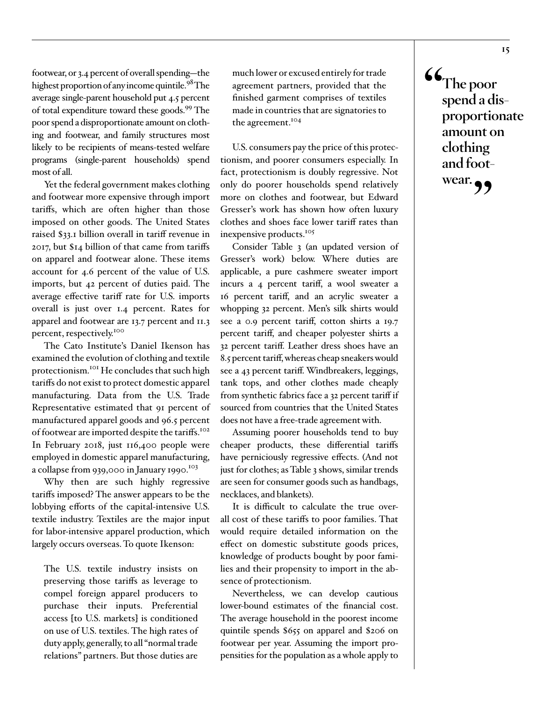footwear, or 3.4 percent of overall spending—the highest proportion of any income quintile.<sup>98</sup> The average single-parent household put 4.5 percent of total expenditure toward these goods.<sup>99</sup> The poor spend a disproportionate amount on clothing and footwear, and family structures most likely to be recipients of means-tested welfare programs (single-parent households) spend most of all.

Yet the federal government makes clothing and footwear more expensive through import tariffs, which are often higher than those imposed on other goods. The United States raised \$33.1 billion overall in tariff revenue in 2017, but \$14 billion of that came from tariffs on apparel and footwear alone. These items account for 4.6 percent of the value of U.S. imports, but 42 percent of duties paid. The average effective tariff rate for U.S. imports overall is just over 1.4 percent. Rates for apparel and footwear are 13.7 percent and 11.3 percent, respectively.100

The Cato Institute's Daniel Ikenson has examined the evolution of clothing and textile protectionism.101 He concludes that such high tariffs do not exist to protect domestic apparel manufacturing. Data from the U.S. Trade Representative estimated that 91 percent of manufactured apparel goods and 96.5 percent of footwear are imported despite the tariffs.<sup>102</sup> In February 2018, just 116,400 people were employed in domestic apparel manufacturing, a collapse from 939,000 in January 1990.<sup>103</sup>

Why then are such highly regressive tariffs imposed? The answer appears to be the lobbying efforts of the capital-intensive U.S. textile industry. Textiles are the major input for labor-intensive apparel production, which largely occurs overseas. To quote Ikenson:

The U.S. textile industry insists on preserving those tariffs as leverage to compel foreign apparel producers to purchase their inputs. Preferential access [to U.S. markets] is conditioned on use of U.S. textiles. The high rates of duty apply, generally, to all "normal trade relations" partners. But those duties are

much lower or excused entirely for trade agreement partners, provided that the finished garment comprises of textiles made in countries that are signatories to the agreement.<sup>104</sup>

U.S. consumers pay the price of this protectionism, and poorer consumers especially. In fact, protectionism is doubly regressive. Not only do poorer households spend relatively more on clothes and footwear, but Edward Gresser's work has shown how often luxury clothes and shoes face lower tariff rates than inexpensive products.<sup>105</sup>

Consider Table 3 (an updated version of Gresser's work) below. Where duties are applicable, a pure cashmere sweater import incurs a 4 percent tariff, a wool sweater a 16 percent tariff, and an acrylic sweater a whopping 32 percent. Men's silk shirts would see a 0.9 percent tariff, cotton shirts a 19.7 percent tariff, and cheaper polyester shirts a 32 percent tariff. Leather dress shoes have an 8.5 percent tariff, whereas cheap sneakers would see a 43 percent tariff. Windbreakers, leggings, tank tops, and other clothes made cheaply from synthetic fabrics face a 32 percent tariff if sourced from countries that the United States does not have a free-trade agreement with.

Assuming poorer households tend to buy cheaper products, these differential tariffs have perniciously regressive effects. (And not just for clothes; as Table 3 shows, similar trends are seen for consumer goods such as handbags, necklaces, and blankets).

It is difficult to calculate the true overall cost of these tariffs to poor families. That would require detailed information on the effect on domestic substitute goods prices, knowledge of products bought by poor families and their propensity to import in the absence of protectionism.

Nevertheless, we can develop cautious lower-bound estimates of the financial cost. The average household in the poorest income quintile spends \$655 on apparel and \$206 on footwear per year. Assuming the import propensities for the population as a whole apply to **"The poor spend a disproportionate amount on clothing and footwear."**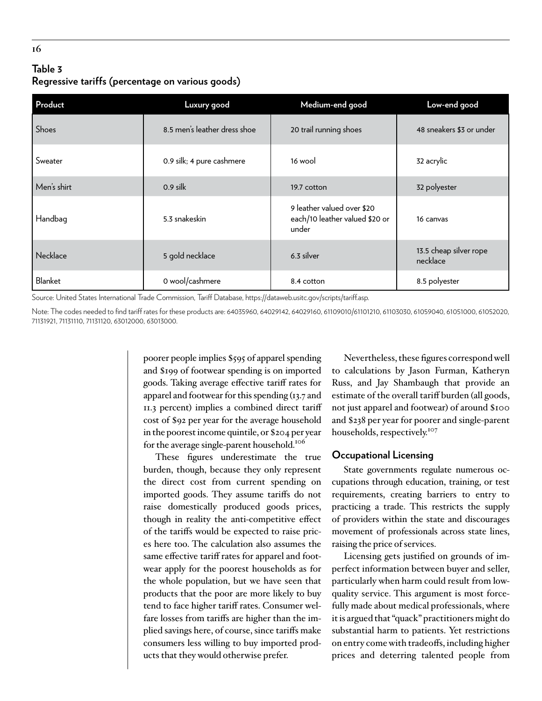# **Table 3 Regressive tariffs (percentage on various goods)**

| Product      | Luxury good                  | Medium-end good                                                       | Low-end good                       |
|--------------|------------------------------|-----------------------------------------------------------------------|------------------------------------|
| <b>Shoes</b> | 8.5 men's leather dress shoe | 20 trail running shoes                                                | 48 sneakers \$3 or under           |
| Sweater      | 0.9 silk; 4 pure cashmere    | 16 wool                                                               | 32 acrylic                         |
| Men's shirt  | $0.9$ silk                   | 19.7 cotton                                                           | 32 polyester                       |
| Handbag      | 5.3 snakeskin                | 9 leather valued over \$20<br>each/10 leather valued \$20 or<br>under | 16 canvas                          |
| Necklace     | 5 gold necklace              | 6.3 silver                                                            | 13.5 cheap silver rope<br>necklace |
| Blanket      | 0 wool/cashmere              | 8.4 cotton                                                            | 8.5 polyester                      |

Source: United States International Trade Commission, Tariff Database, [https://dataweb.usitc.gov/scripts/tariff.asp.](https://dataweb.usitc.gov/scripts/tariff.asp)

Note: The codes needed to find tariff rates for these products are: 64035960, 64029142, 64029160, 61109010/61101210, 61103030, 61059040, 61051000, 61052020, 71131921, 71131110, 71131120, 63012000, 63013000.

> poorer people implies \$595 of apparel spending and \$199 of footwear spending is on imported goods. Taking average effective tariff rates for apparel and footwear for this spending (13.7 and 11.3 percent) implies a combined direct tariff cost of \$92 per year for the average household in the poorest income quintile, or \$204 per year for the average single-parent household.<sup>106</sup>

> These figures underestimate the true burden, though, because they only represent the direct cost from current spending on imported goods. They assume tariffs do not raise domestically produced goods prices, though in reality the anti-competitive effect of the tariffs would be expected to raise prices here too. The calculation also assumes the same effective tariff rates for apparel and footwear apply for the poorest households as for the whole population, but we have seen that products that the poor are more likely to buy tend to face higher tariff rates. Consumer welfare losses from tariffs are higher than the implied savings here, of course, since tariffs make consumers less willing to buy imported products that they would otherwise prefer.

Nevertheless, these figures correspond well to calculations by Jason Furman, Katheryn Russ, and Jay Shambaugh that provide an estimate of the overall tariff burden (all goods, not just apparel and footwear) of around \$100 and \$238 per year for poorer and single-parent households, respectively.<sup>107</sup>

#### **Occupational Licensing**

State governments regulate numerous occupations through education, training, or test requirements, creating barriers to entry to practicing a trade. This restricts the supply of providers within the state and discourages movement of professionals across state lines, raising the price of services.

Licensing gets justified on grounds of imperfect information between buyer and seller, particularly when harm could result from lowquality service. This argument is most forcefully made about medical professionals, where it is argued that "quack" practitioners might do substantial harm to patients. Yet restrictions on entry come with tradeoffs, including higher prices and deterring talented people from

**16**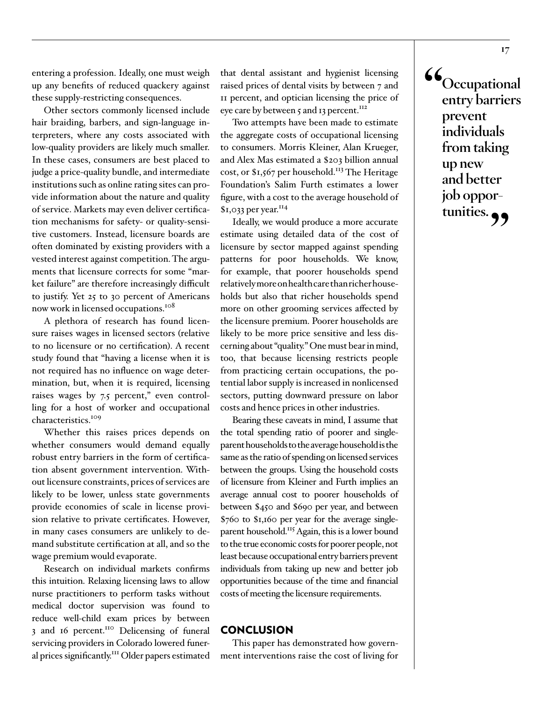entering a profession. Ideally, one must weigh up any benefits of reduced quackery against these supply-restricting consequences.

Other sectors commonly licensed include hair braiding, barbers, and sign-language interpreters, where any costs associated with low-quality providers are likely much smaller. In these cases, consumers are best placed to judge a price-quality bundle, and intermediate institutions such as online rating sites can provide information about the nature and quality of service. Markets may even deliver certification mechanisms for safety- or quality-sensitive customers. Instead, licensure boards are often dominated by existing providers with a vested interest against competition. The arguments that licensure corrects for some "market failure" are therefore increasingly difficult to justify. Yet 25 to 30 percent of Americans now work in licensed occupations.<sup>108</sup>

A plethora of research has found licensure raises wages in licensed sectors (relative to no licensure or no certification). A recent study found that "having a license when it is not required has no influence on wage determination, but, when it is required, licensing raises wages by 7.5 percent," even controlling for a host of worker and occupational characteristics.<sup>109</sup>

Whether this raises prices depends on whether consumers would demand equally robust entry barriers in the form of certification absent government intervention. Without licensure constraints, prices of services are likely to be lower, unless state governments provide economies of scale in license provision relative to private certificates. However, in many cases consumers are unlikely to demand substitute certification at all, and so the wage premium would evaporate.

Research on individual markets confirms this intuition. Relaxing licensing laws to allow nurse practitioners to perform tasks without medical doctor supervision was found to reduce well-child exam prices by between 3 and 16 percent.<sup>110</sup> Delicensing of funeral servicing providers in Colorado lowered funeral prices significantly.<sup>111</sup> Older papers estimated that dental assistant and hygienist licensing raised prices of dental visits by between 7 and 11 percent, and optician licensing the price of eye care by between 5 and 13 percent.<sup>112</sup>

Two attempts have been made to estimate the aggregate costs of occupational licensing to consumers. Morris Kleiner, Alan Krueger, and Alex Mas estimated a \$203 billion annual cost, or \$1,567 per household.<sup>113</sup> The Heritage Foundation's Salim Furth estimates a lower figure, with a cost to the average household of  $$1,033$  per year.<sup>114</sup>

Ideally, we would produce a more accurate estimate using detailed data of the cost of licensure by sector mapped against spending patterns for poor households. We know, for example, that poorer households spend relatively more on health care than richer households but also that richer households spend more on other grooming services affected by the licensure premium. Poorer households are likely to be more price sensitive and less discerning about "quality." One must bear in mind, too, that because licensing restricts people from practicing certain occupations, the potential labor supply is increased in nonlicensed sectors, putting downward pressure on labor costs and hence prices in other industries.

Bearing these caveats in mind, I assume that the total spending ratio of poorer and singleparent households to the average household is the same as the ratio of spending on licensed services between the groups. Using the household costs of licensure from Kleiner and Furth implies an average annual cost to poorer households of between \$450 and \$690 per year, and between \$760 to \$1,160 per year for the average singleparent household.<sup>115</sup> Again, this is a lower bound to the true economic costs for poorer people, not least because occupational entry barriers prevent individuals from taking up new and better job opportunities because of the time and financial costs of meeting the licensure requirements.

#### **CONCLUSION**

This paper has demonstrated how government interventions raise the cost of living for **"Occupational entry barriers prevent individuals from taking up new and better job opportunities."**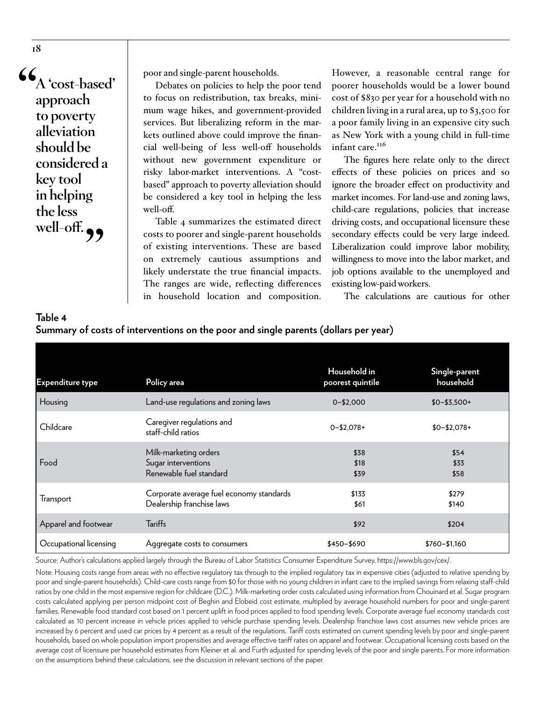**"A 'cost-based' approach to poverty alleviation should be considered a key tool in helping the less well-off."**

**18**

poor and single-parent households.

Debates on policies to help the poor tend to focus on redistribution, tax breaks, minimum wage hikes, and government-provided services. But liberalizing reform in the markets outlined above could improve the financial well-being of less well-off households without new government expenditure or risky labor-market interventions. A "costbased" approach to poverty alleviation should be considered a key tool in helping the less well-off.

Table 4 summarizes the estimated direct costs to poorer and single-parent households of existing interventions. These are based on extremely cautious assumptions and likely understate the true financial impacts. The ranges are wide, reflecting differences in household location and composition.

However, a reasonable central range for poorer households would be a lower bound cost of \$830 per year for a household with no children living in a rural area, up to \$3,500 for a poor family living in an expensive city such as New York with a young child in full-time infant care.<sup>116</sup>

The figures here relate only to the direct effects of these policies on prices and so ignore the broader effect on productivity and market incomes. For land-use and zoning laws, child-care regulations, policies that increase driving costs, and occupational licensure these secondary effects could be very large indeed. Liberalization could improve labor mobility, willingness to move into the labor market, and job options available to the unemployed and existing low-paid workers.

The calculations are cautious for other

| $\epsilon$              |                                                                         |                                  |                            |  |  |
|-------------------------|-------------------------------------------------------------------------|----------------------------------|----------------------------|--|--|
| <b>Expenditure type</b> | Policy area                                                             | Household in<br>poorest quintile | Single-parent<br>household |  |  |
| Housing                 | Land-use regulations and zoning laws                                    | $0 - $2,000$                     | $$0 - $3,500 +$            |  |  |
| Childcare               | Caregiver regulations and<br>staff-child ratios                         | $0 - $2,078 +$                   | $$0 - $2,078 +$            |  |  |
| Food                    | Milk-marketing orders<br>Sugar interventions<br>Renewable fuel standard | \$38<br>\$18<br>\$39             | \$54<br>\$33<br>\$58       |  |  |
| Transport               | Corporate average fuel economy standards<br>Dealership franchise laws   | \$133<br>\$61                    | \$279<br>\$140             |  |  |
| Apparel and footwear    | <b>Tariffs</b>                                                          | \$92                             | \$204                      |  |  |
| Occupational licensing  | Aggregate costs to consumers                                            | \$450-\$690                      | $$760 - $1,160$            |  |  |

#### **Table 4 Summary of costs of interventions on the poor and single parents (dollars per year)**

Source: Author's calculations applied largely through the Bureau of Labor Statistics Consumer Expenditure Survey, [https://www.bls.gov/cex/.](https://www.bls.gov/cex/)

Note: Housing costs range from areas with no effective regulatory tax through to the implied regulatory tax in expensive cities (adjusted to relative spending by poor and single-parent households). Child-care costs range from \$0 for those with no young children in infant care to the implied savings from relaxing staff-child ratios by one child in the most expensive region for childcare (D.C.). Milk-marketing order costs calculated using information from Chouinard et al. Sugar program costs calculated applying per person midpoint cost of Beghin and Elobeid cost estimate, multiplied by average household numbers for poor and single-parent families. Renewable food standard cost based on 1 percent uplift in food prices applied to food spending levels. Corporate average fuel economy standards cost calculated as 10 percent increase in vehicle prices applied to vehicle purchase spending levels. Dealership franchise laws cost assumes new vehicle prices are increased by 6 percent and used car prices by 4 percent as a result of the regulations. Tariff costs estimated on current spending levels by poor and single-parent households, based on whole population import propensities and average effective tariff rates on apparel and footwear. Occupational licensing costs based on the average cost of licensure per household estimates from Kleiner et al. and Furth adjusted for spending levels of the poor and single parents. For more information on the assumptions behind these calculations, see the discussion in relevant sections of the paper.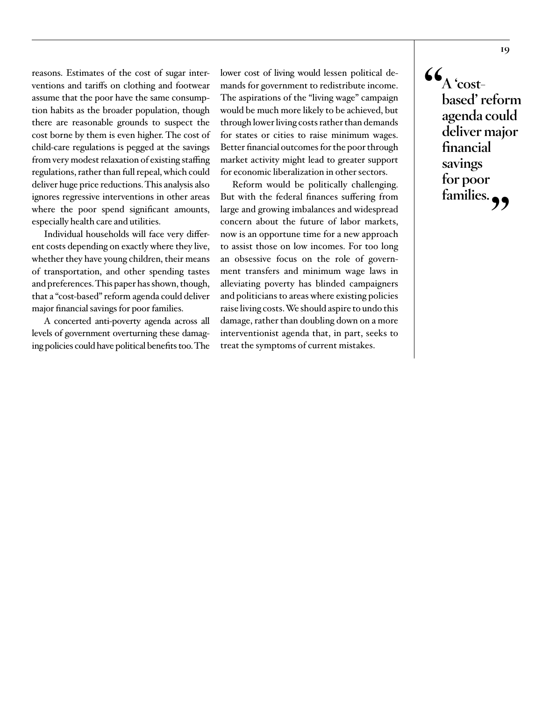reasons. Estimates of the cost of sugar interventions and tariffs on clothing and footwear assume that the poor have the same consumption habits as the broader population, though there are reasonable grounds to suspect the cost borne by them is even higher. The cost of child-care regulations is pegged at the savings from very modest relaxation of existing staffing regulations, rather than full repeal, which could deliver huge price reductions. This analysis also ignores regressive interventions in other areas where the poor spend significant amounts, especially health care and utilities.

Individual households will face very different costs depending on exactly where they live, whether they have young children, their means of transportation, and other spending tastes and preferences. This paper has shown, though, that a "cost-based" reform agenda could deliver major financial savings for poor families.

A concerted anti-poverty agenda across all levels of government overturning these damaging policies could have political benefits too. The

lower cost of living would lessen political demands for government to redistribute income. The aspirations of the "living wage" campaign would be much more likely to be achieved, but through lower living costs rather than demands for states or cities to raise minimum wages. Better financial outcomes for the poor through market activity might lead to greater support for economic liberalization in other sectors.

Reform would be politically challenging. But with the federal finances suffering from large and growing imbalances and widespread concern about the future of labor markets, now is an opportune time for a new approach to assist those on low incomes. For too long an obsessive focus on the role of government transfers and minimum wage laws in alleviating poverty has blinded campaigners and politicians to areas where existing policies raise living costs. We should aspire to undo this damage, rather than doubling down on a more interventionist agenda that, in part, seeks to treat the symptoms of current mistakes.

 $\mathbf{G}_{A \text{ 'cost-}}$ **based' reform agenda could deliver major financial savings for poor families."**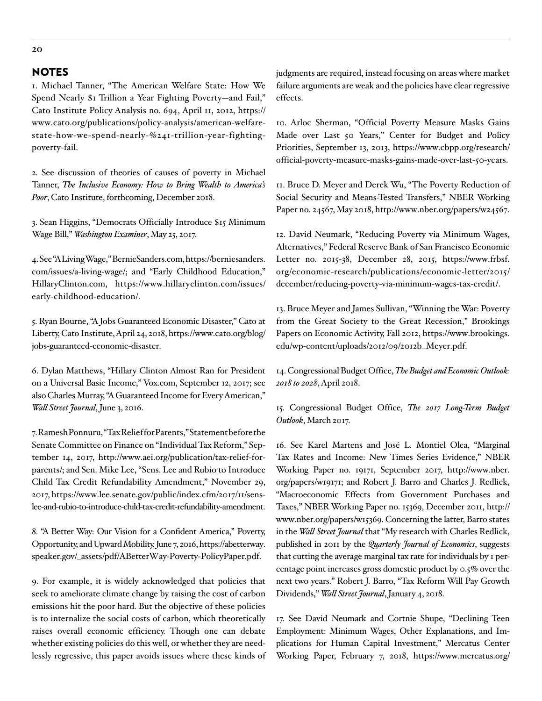#### NOTES

1. Michael Tanner, "The American Welfare State: How We Spend Nearly \$1 Trillion a Year Fighting Poverty-and Fail," Cato Institute Policy Analysis no. 694, April 11, 2012, [https://](https://www.cato.org/publications/policy-analysis/american-welfare-state-how-we-spend-nearly-%241-trillion-year-fighting-poverty-fail) [www.cato.org/publications/policy-analysis/american-welfare](https://www.cato.org/publications/policy-analysis/american-welfare-state-how-we-spend-nearly-%241-trillion-year-fighting-poverty-fail)[state-how-we-spend-nearly-%241-trillion-year-fighting](https://www.cato.org/publications/policy-analysis/american-welfare-state-how-we-spend-nearly-%241-trillion-year-fighting-poverty-fail)[poverty-fail.](https://www.cato.org/publications/policy-analysis/american-welfare-state-how-we-spend-nearly-%241-trillion-year-fighting-poverty-fail)

2. See discussion of theories of causes of poverty in Michael Tanner, *The Inclusive Economy: How to Bring Wealth to America's Poor*, Cato Institute, forthcoming, December 2018.

3. Sean Higgins, "Democrats Officially Introduce \$15 Minimum Wage Bill," *Washington Examiner*, May 25, 2017.

4. See "A Living Wage," BernieSanders.com, [https://berniesanders.](https://berniesanders.com/issues/a-living-wage/) [com/issues/a-living-wage/;](https://berniesanders.com/issues/a-living-wage/) and "Early Childhood Education," HillaryClinton.com, [https://www.hillaryclinton.com/issues/](https://www.hillaryclinton.com/issues/early-childhood-education/) [early-childhood-education/](https://www.hillaryclinton.com/issues/early-childhood-education/).

5. Ryan Bourne, "A Jobs Guaranteed Economic Disaster," Cato at Liberty, Cato Institute, April 24, 2018, [https://www.cato.org/blog/](https://www.cato.org/blog/jobs-guaranteed-economic-disaster) [jobs-guaranteed-economic-disaster.](https://www.cato.org/blog/jobs-guaranteed-economic-disaster)

6. Dylan Matthews, "Hillary Clinton Almost Ran for President on a Universal Basic Income," Vox.com, September 12, 2017; see also Charles Murray, "A Guaranteed Income for Every American," *Wall Street Journal*, June 3, 2016.

7. Ramesh Ponnuru, "Tax Relief for Parents," Statement before the Senate Committee on Finance on "Individual Tax Reform," September 14, 2017, http://www.aei.org/publication/tax-relief-forparents/; and Sen. Mike Lee, "Sens. Lee and Rubio to Introduce Child Tax Credit Refundability Amendment," November 29, 2017, [https://www.lee.senate.gov/public/index.cfm/2017/11/sens](https://www.lee.senate.gov/public/index.cfm/2017/11/sens-lee-and-rubio-to-introduce-child-tax-credit-refundability-amendment)[lee-and-rubio-to-introduce-child-tax-credit-refundability-amendment.](https://www.lee.senate.gov/public/index.cfm/2017/11/sens-lee-and-rubio-to-introduce-child-tax-credit-refundability-amendment)

8. "A Better Way: Our Vision for a Confident America," Poverty, Opportunity, and Upward Mobility, June 7, 2016, [https://abetterway.](https://abetterway.speaker.gov/_assets/pdf/ABetterWay-Poverty-PolicyPaper.pdf) [speaker.gov/\\_assets/pdf/ABetterWay-Poverty-PolicyPaper.pdf.](https://abetterway.speaker.gov/_assets/pdf/ABetterWay-Poverty-PolicyPaper.pdf)

9. For example, it is widely acknowledged that policies that seek to ameliorate climate change by raising the cost of carbon emissions hit the poor hard. But the objective of these policies is to internalize the social costs of carbon, which theoretically raises overall economic efficiency. Though one can debate whether existing policies do this well, or whether they are needlessly regressive, this paper avoids issues where these kinds of judgments are required, instead focusing on areas where market failure arguments are weak and the policies have clear regressive effects.

10. Arloc Sherman, "Official Poverty Measure Masks Gains Made over Last 50 Years," Center for Budget and Policy Priorities, September 13, 2013, [https://www.cbpp.org/research/](https://www.cbpp.org/research/official-poverty-measure-masks-gains-made-over-last-50-years) [official-poverty-measure-masks-gains-made-over-last-50-years.](https://www.cbpp.org/research/official-poverty-measure-masks-gains-made-over-last-50-years)

11. Bruce D. Meyer and Derek Wu, "The Poverty Reduction of Social Security and Means-Tested Transfers," NBER Working Paper no. 24567, May 2018, [http://www.nber.org/papers/w24567.](http://www.nber.org/papers/w24567)

12. David Neumark, "Reducing Poverty via Minimum Wages, Alternatives," Federal Reserve Bank of San Francisco Economic Letter no. 2015-38, December 28, 2015, [https://www.frbsf.](https://www.frbsf.org/economic-research/publications/economic-letter/2015/december/reducing-poverty-via-minimum-wages-tax-credit/) [org/economic-research/publications/economic-letter/2015/](https://www.frbsf.org/economic-research/publications/economic-letter/2015/december/reducing-poverty-via-minimum-wages-tax-credit/) [december/reducing-poverty-via-minimum-wages-tax-credit/](https://www.frbsf.org/economic-research/publications/economic-letter/2015/december/reducing-poverty-via-minimum-wages-tax-credit/).

13. Bruce Meyer and James Sullivan, "Winning the War: Poverty from the Great Society to the Great Recession," Brookings Papers on Economic Activity, Fall 2012, [https://www.brookings.](https://www.brookings.edu/wp-content/uploads/2012/09/2012b_Meyer.pdf) [edu/wp-content/uploads/2012/09/2012b\\_Meyer.pdf.](https://www.brookings.edu/wp-content/uploads/2012/09/2012b_Meyer.pdf)

14. Congressional Budget Office, *The Budget and Economic Outlook: 2018 to 2028*, April 2018.

15. Congressional Budget Office, *The 2017 Long-Term Budget Outlook*, March 2017.

16. See Karel Martens and José L. Montiel Olea, "Marginal Tax Rates and Income: New Times Series Evidence," NBER Working Paper no. 19171, September 2017, [http://www.nber.](http://www.nber.org/papers/w19171) [org/papers/w19171](http://www.nber.org/papers/w19171); and Robert J. Barro and Charles J. Redlick, "Macroeconomic Effects from Government Purchases and Taxes," NBER Working Paper no. 15369, December 2011, [http://](http://www.nber.org/papers/w15369) [www.nber.org/papers/w15369](http://www.nber.org/papers/w15369). Concerning the latter, Barro states in the *Wall Street Journal* that "My research with Charles Redlick, published in 2011 by the *Quarterly Journal of Economics*, suggests that cutting the average marginal tax rate for individuals by 1 percentage point increases gross domestic product by 0.5% over the next two years." Robert J. Barro, "Tax Reform Will Pay Growth Dividends," *Wall Street Journal*, January 4, 2018.

17. See David Neumark and Cortnie Shupe, "Declining Teen Employment: Minimum Wages, Other Explanations, and Implications for Human Capital Investment," Mercatus Center Working Paper, February 7, 2018, [https://www.mercatus.org/](https://www.mercatus.org/publications/declining-teen-employment-minimum-wage-human-capital-investment)

**20**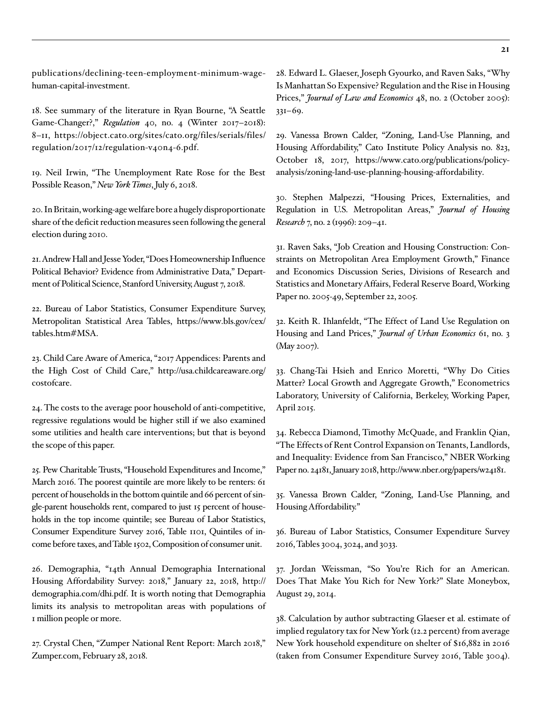[publications/declining-teen-employment-minimum-wage](https://www.mercatus.org/publications/declining-teen-employment-minimum-wage-human-capital-investment)[human-capital-investment](https://www.mercatus.org/publications/declining-teen-employment-minimum-wage-human-capital-investment).

18. See summary of the literature in Ryan Bourne, "A Seattle Game-Changer?," *Regulation* 40, no. 4 (Winter 2017–2018): 8–11, [https://object.cato.org/sites/cato.org/files/serials/files/](https://object.cato.org/sites/cato.org/files/serials/files/regulation/2017/12/regulation-v40n4-6.pdf) [regulation/2017/12/regulation-v40n4-6.pdf](https://object.cato.org/sites/cato.org/files/serials/files/regulation/2017/12/regulation-v40n4-6.pdf).

19. Neil Irwin, "The Unemployment Rate Rose for the Best Possible Reason," *New York Times*, July 6, 2018.

20. In Britain, working-age welfare bore a hugely disproportionate share of the deficit reduction measures seen following the general election during 2010.

21. Andrew Hall and Jesse Yoder, "Does Homeownership Influence Political Behavior? Evidence from Administrative Data," Department of Political Science, Stanford University, August 7, 2018.

22. Bureau of Labor Statistics, Consumer Expenditure Survey, Metropolitan Statistical Area Tables, [https://www.bls.gov/cex/](https://www.bls.gov/cex/tables.htm#MSA) [tables.htm#MSA.](https://www.bls.gov/cex/tables.htm#MSA)

23. Child Care Aware of America, "2017 Appendices: Parents and the High Cost of Child Care," http://usa.childcareaware.org/ costofcare.

24. The costs to the average poor household of anti-competitive, regressive regulations would be higher still if we also examined some utilities and health care interventions; but that is beyond the scope of this paper.

25. Pew Charitable Trusts, "Household Expenditures and Income," March 2016. The poorest quintile are more likely to be renters: 61 percent of households in the bottom quintile and 66 percent of single-parent households rent, compared to just 15 percent of households in the top income quintile; see Bureau of Labor Statistics, Consumer Expenditure Survey 2016, Table 1101, Quintiles of income before taxes, and Table 1502, Composition of consumer unit.

26. Demographia, "14th Annual Demographia International Housing Affordability Survey: 2018," January 22, 2018, [http://](http://demographia.com/dhi.pdf) [demographia.com/dhi.pdf.](http://demographia.com/dhi.pdf) It is worth noting that Demographia limits its analysis to metropolitan areas with populations of I million people or more.

27. Crystal Chen, "Zumper National Rent Report: March 2018," Zumper.com, February 28, 2018.

28. Edward L. Glaeser, Joseph Gyourko, and Raven Saks, "Why Is Manhattan So Expensive? Regulation and the Rise in Housing Prices," *Journal of Law and Economics* 48, no. 2 (October 2005): 331–69.

29. Vanessa Brown Calder, "Zoning, Land-Use Planning, and Housing Affordability," Cato Institute Policy Analysis no. 823, October 18, 2017, [https://www.cato.org/publications/policy](https://www.cato.org/publications/policy-analysis/zoning-land-use-planning-housing-affordability)[analysis/zoning-land-use-planning-housing-affordability.](https://www.cato.org/publications/policy-analysis/zoning-land-use-planning-housing-affordability)

30. Stephen Malpezzi, "Housing Prices, Externalities, and Regulation in U.S. Metropolitan Areas," *Journal of Housing Research* 7, no. 2 (1996): 209–41.

31. Raven Saks, "Job Creation and Housing Construction: Constraints on Metropolitan Area Employment Growth," Finance and Economics Discussion Series, Divisions of Research and Statistics and Monetary Affairs, Federal Reserve Board, Working Paper no. 2005-49, September 22, 2005.

32. Keith R. Ihlanfeldt, "The Effect of Land Use Regulation on Housing and Land Prices," *Journal of Urban Economics* 61, no. 3 (May 2007).

33. Chang-Tai Hsieh and Enrico Moretti, "Why Do Cities Matter? Local Growth and Aggregate Growth," Econometrics Laboratory, University of California, Berkeley, Working Paper, April 2015.

34. Rebecca Diamond, Timothy McQuade, and Franklin Qian, "The Effects of Rent Control Expansion on Tenants, Landlords, and Inequality: Evidence from San Francisco," NBER Working Paper no. 24181, January 2018,<http://www.nber.org/papers/w24181>.

35. Vanessa Brown Calder, "Zoning, Land-Use Planning, and Housing Affordability."

36. Bureau of Labor Statistics, Consumer Expenditure Survey 2016, Tables 3004, 3024, and 3033.

37. Jordan Weissman, "So You're Rich for an American. Does That Make You Rich for New York?" Slate Moneybox, August 29, 2014.

38. Calculation by author subtracting Glaeser et al. estimate of implied regulatory tax for New York (12.2 percent) from average New York household expenditure on shelter of \$16,882 in 2016 (taken from Consumer Expenditure Survey 2016, Table 3004).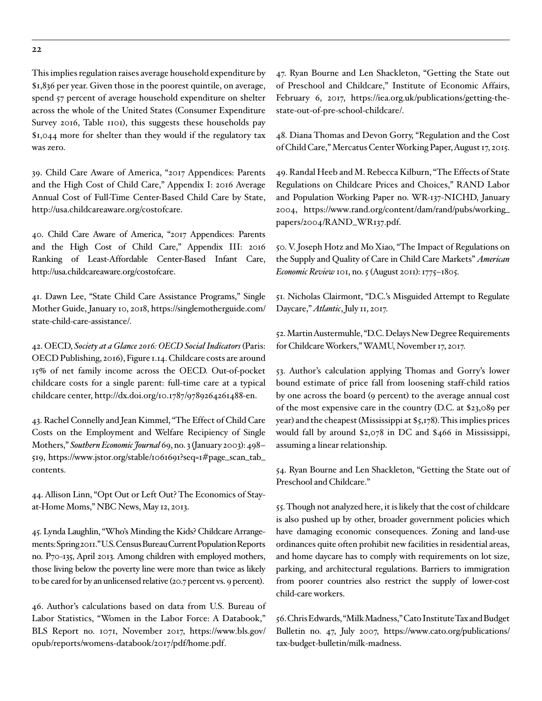This implies regulation raises average household expenditure by \$1,836 per year. Given those in the poorest quintile, on average, spend 57 percent of average household expenditure on shelter across the whole of the United States (Consumer Expenditure Survey 2016, Table 1101), this suggests these households pay \$1,044 more for shelter than they would if the regulatory tax was zero.

39. Child Care Aware of America, "2017 Appendices: Parents and the High Cost of Child Care," Appendix I: 2016 Average Annual Cost of Full-Time Center-Based Child Care by State, <http://usa.childcareaware.org/costofcare>.

40. Child Care Aware of America, "2017 Appendices: Parents and the High Cost of Child Care," Appendix III: 2016 Ranking of Least-Affordable Center-Based Infant Care, <http://usa.childcareaware.org/costofcare>.

41. Dawn Lee, "State Child Care Assistance Programs," Single Mother Guide, January 10, 2018, [https://singlemotherguide.com/](https://singlemotherguide.com/state-child-care-assistance/) [state-child-care-assistance/](https://singlemotherguide.com/state-child-care-assistance/).

42. OECD, *Society at a Glance 2016: OECD Social Indicators* (Paris: OECD Publishing, 2016), Figure 1.14. Childcare costs are around 15% of net family income across the OECD. Out-of-pocket childcare costs for a single parent: full-time care at a typical childcare center, [http://dx.doi.org/10.1787/9789264261488-en](https://www.oecd-ilibrary.org/social-issues-migration-health/society-at-a-glance-2016_9789264261488-en).

43. Rachel Connelly and Jean Kimmel, "The Effect of Child Care Costs on the Employment and Welfare Recipiency of Single Mothers," *Southern Economic Journal* 69, no. 3 (January 2003): 498– 519, [https://www.jstor.org/stable/1061691?seq=1#page\\_scan\\_tab\\_](https://www.jstor.org/stable/1061691?seq=1#page_scan_tab_contents) [contents](https://www.jstor.org/stable/1061691?seq=1#page_scan_tab_contents).

44. Allison Linn, "Opt Out or Left Out? The Economics of Stayat-Home Moms," NBC News, May 12, 2013.

45. Lynda Laughlin, "Who's Minding the Kids? Childcare Arrangements: Spring 2011." U.S. Census Bureau Current Population Reports no. P70-135, April 2013. Among children with employed mothers, those living below the poverty line were more than twice as likely to be cared for by an unlicensed relative (20.7 percent vs. 9 percent).

46. Author's calculations based on data from U.S. Bureau of Labor Statistics, "Women in the Labor Force: A Databook," BLS Report no. 1071, November 2017, [https://www.bls.gov/](https://www.bls.gov/opub/reports/womens-databook/2017/pdf/home.pdf) [opub/reports/womens-databook/2017/pdf/home.pdf](https://www.bls.gov/opub/reports/womens-databook/2017/pdf/home.pdf).

47. Ryan Bourne and Len Shackleton, "Getting the State out of Preschool and Childcare," Institute of Economic Affairs, February 6, 2017, [https://iea.org.uk/publications/getting-the](https://iea.org.uk/publications/getting-the-state-out-of-pre-school-childcare)[state-out-of-pre-school-childcare](https://iea.org.uk/publications/getting-the-state-out-of-pre-school-childcare)/.

48. Diana Thomas and Devon Gorry, "Regulation and the Cost of Child Care," Mercatus Center Working Paper, August 17, 2015.

49. Randal Heeb and M. Rebecca Kilburn, "The Effects of State Regulations on Childcare Prices and Choices," RAND Labor and Population Working Paper no. WR-137-NICHD, January 2004, [https://www.rand.org/content/dam/rand/pubs/working\\_](https://www.rand.org/content/dam/rand/pubs/working_papers/2004/RAND_WR137.pdf) [papers/2004/RAND\\_WR137.pdf.](https://www.rand.org/content/dam/rand/pubs/working_papers/2004/RAND_WR137.pdf)

50. V. Joseph Hotz and Mo Xiao, "The Impact of Regulations on the Supply and Quality of Care in Child Care Markets" *American Economic Review* 101, no. 5 (August 2011): 1775–1805.

51. Nicholas Clairmont, "D.C.'s Misguided Attempt to Regulate Daycare," *Atlantic*, July 11, 2017.

52. Martin Austermuhle, "D.C. Delays New Degree Requirements for Childcare Workers," WAMU, November 17, 2017.

53. Author's calculation applying Thomas and Gorry's lower bound estimate of price fall from loosening staff-child ratios by one across the board (9 percent) to the average annual cost of the most expensive care in the country (D.C. at \$23,089 per year) and the cheapest (Mississippi at \$5,178). This implies prices would fall by around \$2,078 in DC and \$466 in Mississippi, assuming a linear relationship.

54. Ryan Bourne and Len Shackleton, "Getting the State out of Preschool and Childcare."

55. Though not analyzed here, it is likely that the cost of childcare is also pushed up by other, broader government policies which have damaging economic consequences. Zoning and land-use ordinances quite often prohibit new facilities in residential areas, and home daycare has to comply with requirements on lot size, parking, and architectural regulations. Barriers to immigration from poorer countries also restrict the supply of lower-cost child-care workers.

56. Chris Edwards, "Milk Madness," Cato Institute Tax and Budget Bulletin no. 47, July 2007, [https://www.cato.org/publications/](https://www.cato.org/publications/tax-budget-bulletin/milk-madness) [tax-budget-bulletin/milk-madness](https://www.cato.org/publications/tax-budget-bulletin/milk-madness).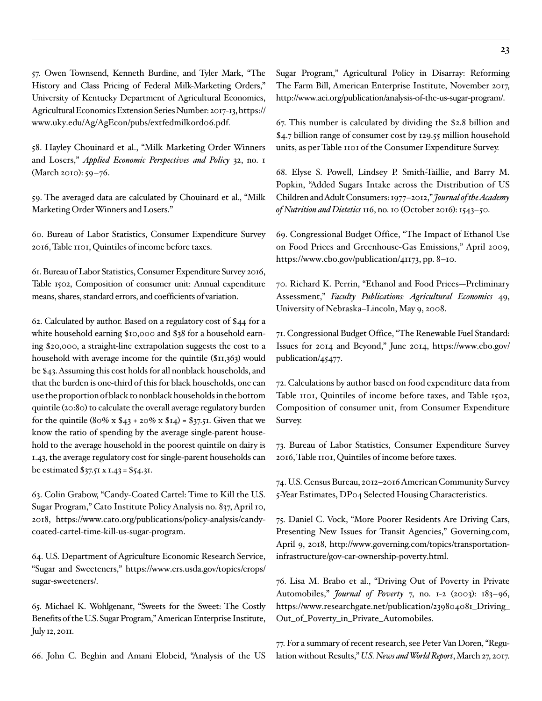57. Owen Townsend, Kenneth Burdine, and Tyler Mark, "The History and Class Pricing of Federal Milk-Marketing Orders," University of Kentucky Department of Agricultural Economics, Agricultural Economics Extension Series Number: 2017-13, [https://](https://www.uky.edu/Ag/AgEcon/pubs/extfedmilkord06.pdf.) [www.uky.edu/Ag/AgEcon/pubs/extfedmilkord06.pdf.](https://www.uky.edu/Ag/AgEcon/pubs/extfedmilkord06.pdf.)

58. Hayley Chouinard et al., "Milk Marketing Order Winners and Losers," *Applied Economic Perspectives and Policy* 32, no. 1 (March 2010): 59–76.

59. The averaged data are calculated by Chouinard et al., "Milk Marketing Order Winners and Losers."

60. Bureau of Labor Statistics, Consumer Expenditure Survey 2016, Table 1101, Quintiles of income before taxes.

61. Bureau of Labor Statistics, Consumer Expenditure Survey 2016, Table 1502, Composition of consumer unit: Annual expenditure means, shares, standard errors, and coefficients of variation.

62. Calculated by author. Based on a regulatory cost of \$44 for a white household earning \$10,000 and \$38 for a household earning \$20,000, a straight-line extrapolation suggests the cost to a household with average income for the quintile (\$11,363) would be \$43. Assuming this cost holds for all nonblack households, and that the burden is one-third of this for black households, one can use the proportion of black to nonblack households in the bottom quintile (20:80) to calculate the overall average regulatory burden for the quintile  $(80\% \times $43 + 20\% \times $14) = $37.51$ . Given that we know the ratio of spending by the average single-parent household to the average household in the poorest quintile on dairy is 1.43, the average regulatory cost for single-parent households can be estimated \$37.51 x 1.43 = \$54.31.

63. Colin Grabow, "Candy-Coated Cartel: Time to Kill the U.S. Sugar Program," Cato Institute Policy Analysis no. 837, April 10, 2018, [https://www.cato.org/publications/policy-analysis/candy](https://www.cato.org/publications/policy-analysis/candy-coated-cartel-time-kill-us-sugar-program)[coated-cartel-time-kill-us-sugar-program](https://www.cato.org/publications/policy-analysis/candy-coated-cartel-time-kill-us-sugar-program).

64. U.S. Department of Agriculture Economic Research Service, "Sugar and Sweeteners," [https://www.ers.usda.gov/topics/crops/](https://www.ers.usda.gov/topics/crops/sugar-sweeteners/) [sugar-sweeteners/.](https://www.ers.usda.gov/topics/crops/sugar-sweeteners/)

65. Michael K. Wohlgenant, "Sweets for the Sweet: The Costly Benefits of the U.S. Sugar Program," American Enterprise Institute, July 12, 2011.

66. John C. Beghin and Amani Elobeid, "Analysis of the US

Sugar Program," Agricultural Policy in Disarray: Reforming The Farm Bill, American Enterprise Institute, November 2017, <http://www.aei.org/publication/analysis-of-the-us-sugar-program/>.

67. This number is calculated by dividing the \$2.8 billion and \$4.7 billion range of consumer cost by 129.55 million household units, as per Table 1101 of the Consumer Expenditure Survey.

68. Elyse S. Powell, Lindsey P. Smith-Taillie, and Barry M. Popkin, "Added Sugars Intake across the Distribution of US Children and Adult Consumers: 1977–2012," *Journal of the Academy of Nutrition and Dietetics* 116, no. 10 (October 2016): 1543–50.

69. Congressional Budget Office, "The Impact of Ethanol Use on Food Prices and Greenhouse-Gas Emissions," April 2009, <https://www.cbo.gov/publication/41173>, pp. 8–10.

70. Richard K. Perrin, "Ethanol and Food Prices—Preliminary Assessment," *Faculty Publications: Agricultural Economics* 49, University of Nebraska–Lincoln, May 9, 2008.

71. Congressional Budget Office, "The Renewable Fuel Standard: Issues for 2014 and Beyond," June 2014, [https://www.cbo.gov/](https://www.cbo.gov/publication/41173) [publication/45477.](https://www.cbo.gov/publication/41173)

72. Calculations by author based on food expenditure data from Table 1101, Quintiles of income before taxes, and Table 1502, Composition of consumer unit, from Consumer Expenditure Survey.

73. Bureau of Labor Statistics, Consumer Expenditure Survey 2016, Table 1101, Quintiles of income before taxes.

74. U.S. Census Bureau, 2012–2016 American Community Survey 5-Year Estimates, DP04 Selected Housing Characteristics.

75. Daniel C. Vock, "More Poorer Residents Are Driving Cars, Presenting New Issues for Transit Agencies," Governing.com, April 9, 2018, [http://www.governing.com/topics/transportation](http://www.governing.com/topics/transportation-infrastructure/gov-car-ownership-poverty.html)[infrastructure/gov-car-ownership-poverty.html](http://www.governing.com/topics/transportation-infrastructure/gov-car-ownership-poverty.html).

76. Lisa M. Brabo et al., "Driving Out of Poverty in Private Automobiles," *Journal of Poverty* 7, no. 1-2 (2003): 183–96, https://www.researchgate.net/publication/239804081\_Driving\_ Out\_of\_Poverty\_in\_Private\_Automobiles.

77. For a summary of recent research, see Peter Van Doren, "Regulation without Results," *U.S. News and World Report*, March 27, 2017.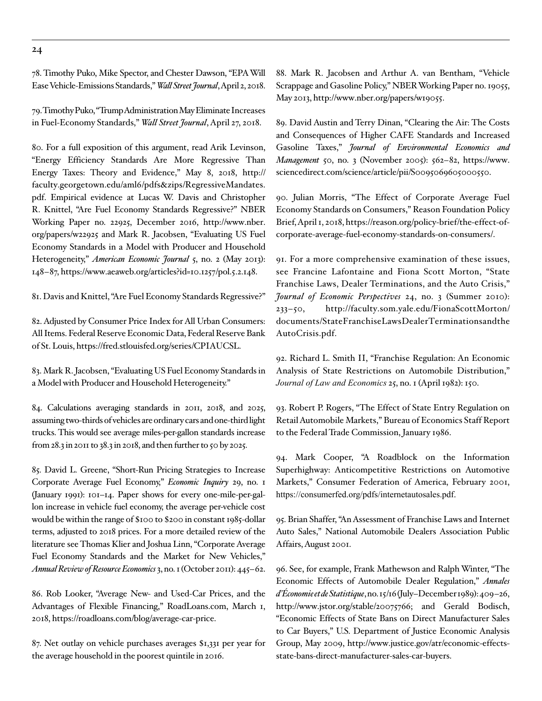**24**

78. Timothy Puko, Mike Spector, and Chester Dawson, "EPA Will Ease Vehicle-Emissions Standards," *Wall Street Journal*, April 2, 2018.

79. Timothy Puko, "Trump Administration May Eliminate Increases in Fuel-Economy Standards," *Wall Street Journal*, April 27, 2018.

80. For a full exposition of this argument, read Arik Levinson, "Energy Efficiency Standards Are More Regressive Than Energy Taxes: Theory and Evidence," May 8, 2018, [http://](http://faculty.georgetown.edu/aml6/pdfs&zips/RegressiveMandates.pdf) [faculty.georgetown.edu/aml6/pdfs&zips/RegressiveMandates.](http://faculty.georgetown.edu/aml6/pdfs&zips/RegressiveMandates.pdf) [pdf.](http://faculty.georgetown.edu/aml6/pdfs&zips/RegressiveMandates.pdf) Empirical evidence at Lucas W. Davis and Christopher R. Knittel, "Are Fuel Economy Standards Regressive?" NBER Working Paper no. 22925, December 2016, [http://www.nber.](http://www.nber.org/papers/w22925) [org/papers/w22925](http://www.nber.org/papers/w22925) and Mark R. Jacobsen, "Evaluating US Fuel Economy Standards in a Model with Producer and Household Heterogeneity," *American Economic Journal* 5, no. 2 (May 2013): 148–87, [https://www.aeaweb.org/articles?id=10.1257/pol.5.2.148.](https://www.aeaweb.org/articles?id=10.1257/pol.5.2.148)

81. Davis and Knittel, "Are Fuel Economy Standards Regressive?"

82. Adjusted by Consumer Price Index for All Urban Consumers: All Items. Federal Reserve Economic Data, Federal Reserve Bank of St. Louis,<https://fred.stlouisfed.org/series/CPIAUCSL>.

83. Mark R. Jacobsen, "Evaluating US Fuel Economy Standards in a Model with Producer and Household Heterogeneity."

84. Calculations averaging standards in 2011, 2018, and 2025, assuming two-thirds of vehicles are ordinary cars and one-third light trucks. This would see average miles-per-gallon standards increase from 28.3 in 2011 to 38.3 in 2018, and then further to 50 by 2025.

85. David L. Greene, "Short-Run Pricing Strategies to Increase Corporate Average Fuel Economy," *Economic Inquiry* 29, no. 1 (January 1991): 101–14. Paper shows for every one-mile-per-gallon increase in vehicle fuel economy, the average per-vehicle cost would be within the range of \$100 to \$200 in constant 1985-dollar terms, adjusted to 2018 prices. For a more detailed review of the literature see Thomas Klier and Joshua Linn, "Corporate Average Fuel Economy Standards and the Market for New Vehicles," *Annual Review of Resource Economics* 3, no. 1 (October 2011): 445–62.

86. Rob Looker, "Average New- and Used-Car Prices, and the Advantages of Flexible Financing," RoadLoans.com, March 1, 2018, [https://roadloans.com/blog/average-car-price.](https://roadloans.com/blog/average-car-price)

87. Net outlay on vehicle purchases averages \$1,331 per year for the average household in the poorest quintile in 2016.

88. Mark R. Jacobsen and Arthur A. van Bentham, "Vehicle Scrappage and Gasoline Policy," NBER Working Paper no. 19055, May 2013, [http://www.nber.org/papers/w19055.](http://www.nber.org/papers/w19055)

89. David Austin and Terry Dinan, "Clearing the Air: The Costs and Consequences of Higher CAFE Standards and Increased Gasoline Taxes," *Journal of Environmental Economics and Management* 50, no. 3 (November 2005): 562–82, [https://www.](https://www.sciencedirect.com/science/article/pii/S0095069605000550) [sciencedirect.com/science/article/pii/S0095069605000550.](https://www.sciencedirect.com/science/article/pii/S0095069605000550)

90. Julian Morris, "The Effect of Corporate Average Fuel Economy Standards on Consumers," Reason Foundation Policy Brief, April 1, 2018, [https://reason.org/policy-brief/the-effect-of](https://reason.org/policy-brief/the-effect-of-corporate-average-fuel-economy-standards-on-consumers/)[corporate-average-fuel-economy-standards-on-consumers/](https://reason.org/policy-brief/the-effect-of-corporate-average-fuel-economy-standards-on-consumers/).

91. For a more comprehensive examination of these issues, see Francine Lafontaine and Fiona Scott Morton, "State Franchise Laws, Dealer Terminations, and the Auto Crisis," *Journal of Economic Perspectives* 24, no. 3 (Summer 2010): 233–50, [http://faculty.som.yale.edu/FionaScottMorton/](http://faculty.som.yale.edu/FionaScottMorton/documents/StateFranchiseLawsDealerTerminationsandtheAutoCrisis.pdf) [documents/StateFranchiseLawsDealerTerminationsandthe](http://faculty.som.yale.edu/FionaScottMorton/documents/StateFranchiseLawsDealerTerminationsandtheAutoCrisis.pdf) [AutoCrisis.pdf](http://faculty.som.yale.edu/FionaScottMorton/documents/StateFranchiseLawsDealerTerminationsandtheAutoCrisis.pdf).

92. Richard L. Smith II, "Franchise Regulation: An Economic Analysis of State Restrictions on Automobile Distribution," *Journal of Law and Economics* 25, no. 1 (April 1982): 150.

93. Robert P. Rogers, "The Effect of State Entry Regulation on Retail Automobile Markets," Bureau of Economics Staff Report to the Federal Trade Commission, January 1986.

94. Mark Cooper, "A Roadblock on the Information Superhighway: Anticompetitive Restrictions on Automotive Markets," Consumer Federation of America, February 2001, <https://consumerfed.org/pdfs/internetautosales.pdf>.

95. Brian Shaffer, "An Assessment of Franchise Laws and Internet Auto Sales," National Automobile Dealers Association Public Affairs, August 2001.

96. See, for example, Frank Mathewson and Ralph Winter, "The Economic Effects of Automobile Dealer Regulation," *Annales d'Économie et de Statistique*, no. 15/16 (July–December 1989): 409–26, [http://www.jstor.org/stable/20075766;](http://www.jstor.org/stable/20075766) and Gerald Bodisch, "Economic Effects of State Bans on Direct Manufacturer Sales to Car Buyers," U.S. Department of Justice Economic Analysis Group, May 2009, [http://www.justice.gov/atr/economic-effects](http://www.justice.gov/atr/economic-effects-state-bans-direct-manufacturer-sales-car-buyers)[state-bans-direct-manufacturer-sales-car-buyers.](http://www.justice.gov/atr/economic-effects-state-bans-direct-manufacturer-sales-car-buyers)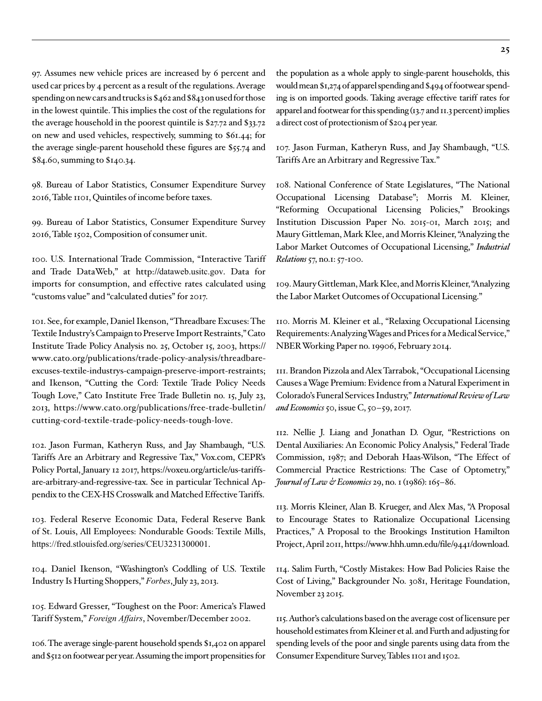97. Assumes new vehicle prices are increased by 6 percent and used car prices by 4 percent as a result of the regulations. Average spending on new cars and trucks is \$462 and \$843 on used for those in the lowest quintile. This implies the cost of the regulations for the average household in the poorest quintile is \$27.72 and \$33.72 on new and used vehicles, respectively, summing to \$61.44; for the average single-parent household these figures are \$55.74 and \$84.60, summing to \$140.34.

98. Bureau of Labor Statistics, Consumer Expenditure Survey 2016, Table 1101, Quintiles of income before taxes.

99. Bureau of Labor Statistics, Consumer Expenditure Survey 2016, Table 1502, Composition of consumer unit.

100. U.S. International Trade Commission, "Interactive Tariff and Trade DataWeb," at http://dataweb.usitc.gov. Data for imports for consumption, and effective rates calculated using "customs value" and "calculated duties" for 2017.

101. See, for example, Daniel Ikenson, "Threadbare Excuses: The Textile Industry's Campaign to Preserve Import Restraints," Cato Institute Trade Policy Analysis no. 25, October 15, 2003, [https://](https://www.cato.org/publications/trade-policy-analysis/threadbare-excuses-textile-industrys-campaign-preserve-import-restraints) [www.cato.org/publications/trade-policy-analysis/threadbare](https://www.cato.org/publications/trade-policy-analysis/threadbare-excuses-textile-industrys-campaign-preserve-import-restraints)[excuses-textile-industrys-campaign-preserve-import-restraints;](https://www.cato.org/publications/trade-policy-analysis/threadbare-excuses-textile-industrys-campaign-preserve-import-restraints) and Ikenson, "Cutting the Cord: Textile Trade Policy Needs Tough Love," Cato Institute Free Trade Bulletin no. 15, July 23, 2013, [https://www.cato.org/publications/free-trade-bulletin/](https://www.cato.org/publications/free-trade-bulletin/cutting-cord-textile-trade-policy-needs-tough-love) [cutting-cord-textile-trade-policy-needs-tough-love.](https://www.cato.org/publications/free-trade-bulletin/cutting-cord-textile-trade-policy-needs-tough-love)

102. Jason Furman, Katheryn Russ, and Jay Shambaugh, "U.S. Tariffs Are an Arbitrary and Regressive Tax," Vox.com, CEPR's Policy Portal, January 12 2017, https://voxeu.org/article/us-tariffsare-arbitrary-and-regressive-tax. See in particular Technical Appendix to the CEX-HS Crosswalk and Matched Effective Tariffs.

103. Federal Reserve Economic Data, Federal Reserve Bank of St. Louis, All Employees: Nondurable Goods: Textile Mills, <https://fred.stlouisfed.org/series/CEU3231300001>.

104. Daniel Ikenson, "Washington's Coddling of U.S. Textile Industry Is Hurting Shoppers," *Forbes*, July 23, 2013.

105. Edward Gresser, "Toughest on the Poor: America's Flawed Tariff System," *Foreign Affairs*, November/December 2002.

106. The average single-parent household spends \$1,402 on apparel and \$512 on footwear per year. Assuming the import propensities for the population as a whole apply to single-parent households, this would mean \$1,274 of apparel spending and \$494 of footwear spending is on imported goods. Taking average effective tariff rates for apparel and footwear for this spending (13.7 and 11.3 percent) implies a direct cost of protectionism of \$204 per year.

107. Jason Furman, Katheryn Russ, and Jay Shambaugh, "U.S. Tariffs Are an Arbitrary and Regressive Tax."

108. National Conference of State Legislatures, "The National Occupational Licensing Database"; Morris M. Kleiner, "Reforming Occupational Licensing Policies," Brookings Institution Discussion Paper No. 2015-01, March 2015; and Maury Gittleman, Mark Klee, and Morris Kleiner, "Analyzing the Labor Market Outcomes of Occupational Licensing," *Industrial Relations* 57, no.1: 57-100.

109. Maury Gittleman, Mark Klee, and Morris Kleiner, "Analyzing the Labor Market Outcomes of Occupational Licensing."

110. Morris M. Kleiner et al., "Relaxing Occupational Licensing Requirements: Analyzing Wages and Prices for a Medical Service," NBER Working Paper no. 19906, February 2014.

111. Brandon Pizzola and Alex Tarrabok, "Occupational Licensing Causes a Wage Premium: Evidence from a Natural Experiment in Colorado's Funeral Services Industry," *International Review of Law and Economics* 50, issue C, 50–59, 2017.

112. Nellie J. Liang and Jonathan D. Ogur, "Restrictions on Dental Auxiliaries: An Economic Policy Analysis," Federal Trade Commission, 1987; and Deborah Haas-Wilson, "The Effect of Commercial Practice Restrictions: The Case of Optometry," *Journal of Law & Economics* 29, no. 1 (1986): 165–86.

113. Morris Kleiner, Alan B. Krueger, and Alex Mas, "A Proposal to Encourage States to Rationalize Occupational Licensing Practices," A Proposal to the Brookings Institution Hamilton Project, April 2011,<https://www.hhh.umn.edu/file/9441/download>.

114. Salim Furth, "Costly Mistakes: How Bad Policies Raise the Cost of Living," Backgrounder No. 3081, Heritage Foundation, November 23 2015.

115. Author's calculations based on the average cost of licensure per household estimates from Kleiner et al. and Furth and adjusting for spending levels of the poor and single parents using data from the Consumer Expenditure Survey, Tables 1101 and 1502.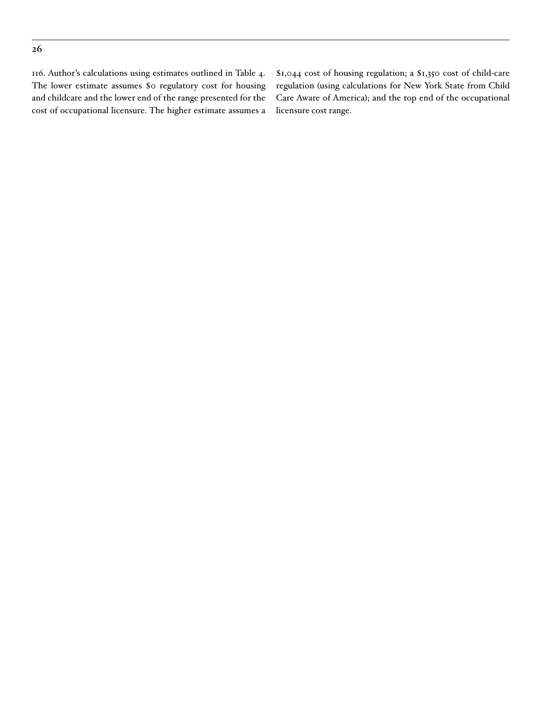116. Author's calculations using estimates outlined in Table 4. The lower estimate assumes \$0 regulatory cost for housing and childcare and the lower end of the range presented for the cost of occupational licensure. The higher estimate assumes a \$1,044 cost of housing regulation; a \$1,350 cost of child-care regulation (using calculations for New York State from Child Care Aware of America); and the top end of the occupational licensure cost range.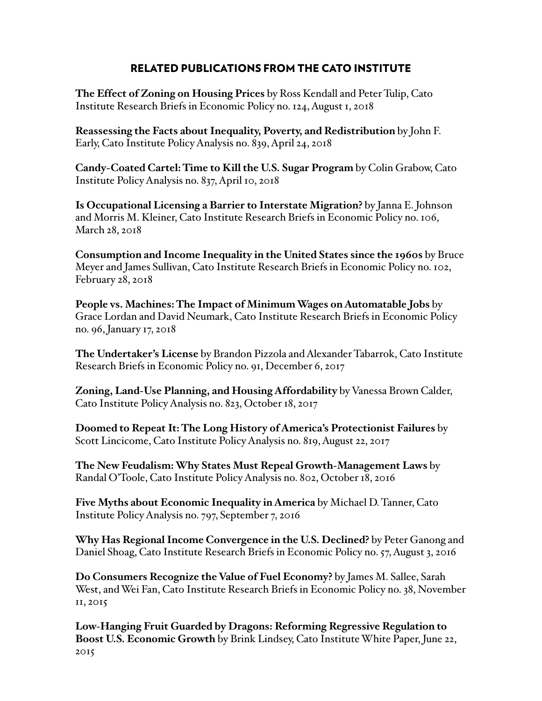# RELATED PUBLICATIONS FROM THE CATO INSTITUTE

**The Effect of Zoning on Housing Prices** by Ross Kendall and Peter Tulip, Cato Institute Research Briefs in Economic Policy no. 124, August 1, 2018

**Reassessing the Facts about Inequality, Poverty, and Redistribution** by John F. Early, Cato Institute Policy Analysis no. 839, April 24, 2018

**Candy-Coated Cartel: Time to Kill the U.S. Sugar Program** by Colin Grabow, Cato Institute Policy Analysis no. 837, April 10, 2018

**Is Occupational Licensing a Barrier to Interstate Migration?** by Janna E. Johnson and Morris M. Kleiner, Cato Institute Research Briefs in Economic Policy no. 106, March 28, 2018

**Consumption and Income Inequality in the United States since the 1960s** by Bruce Meyer and James Sullivan, Cato Institute Research Briefs in Economic Policy no. 102, February 28, 2018

**People vs. Machines: The Impact of Minimum Wages on Automatable Jobs** by Grace Lordan and David Neumark, Cato Institute Research Briefs in Economic Policy no. 96, January 17, 2018

**The Undertaker's License** by Brandon Pizzola and Alexander Tabarrok, Cato Institute Research Briefs in Economic Policy no. 91, December 6, 2017

**Zoning, Land-Use Planning, and Housing Affordability** by Vanessa Brown Calder, Cato Institute Policy Analysis no. 823, October 18, 2017

**Doomed to Repeat It: The Long History of America's Protectionist Failures** by Scott Lincicome, Cato Institute Policy Analysis no. 819, August 22, 2017

**The New Feudalism: Why States Must Repeal Growth-Management Laws** by Randal O'Toole, Cato Institute Policy Analysis no. 802, October 18, 2016

**Five Myths about Economic Inequality in America** by Michael D. Tanner, Cato Institute Policy Analysis no. 797, September 7, 2016

**Why Has Regional Income Convergence in the U.S. Declined?** by Peter Ganong and Daniel Shoag, Cato Institute Research Briefs in Economic Policy no. 57, August 3, 2016

**Do Consumers Recognize the Value of Fuel Economy?** by James M. Sallee, Sarah West, and Wei Fan, Cato Institute Research Briefs in Economic Policy no. 38, November 11, 2015

**Low-Hanging Fruit Guarded by Dragons: Reforming Regressive Regulation to Boost U.S. Economic Growth** by Brink Lindsey, Cato Institute White Paper, June 22, 2015